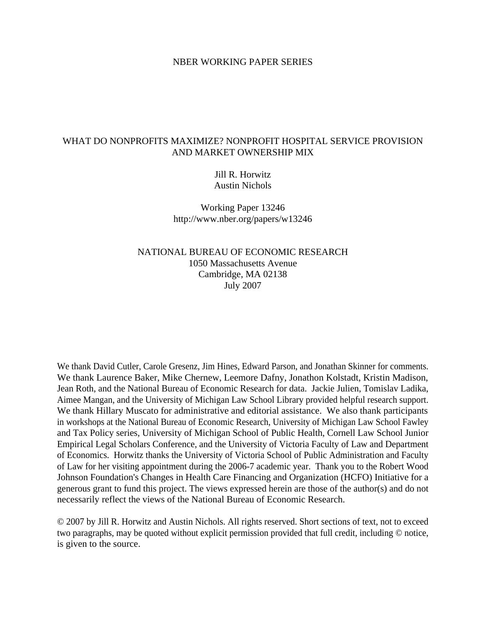### NBER WORKING PAPER SERIES

## WHAT DO NONPROFITS MAXIMIZE? NONPROFIT HOSPITAL SERVICE PROVISION AND MARKET OWNERSHIP MIX

## Jill R. Horwitz Austin Nichols

Working Paper 13246 http://www.nber.org/papers/w13246

## NATIONAL BUREAU OF ECONOMIC RESEARCH 1050 Massachusetts Avenue Cambridge, MA 02138 July 2007

We thank David Cutler, Carole Gresenz, Jim Hines, Edward Parson, and Jonathan Skinner for comments. We thank Laurence Baker, Mike Chernew, Leemore Dafny, Jonathon Kolstadt, Kristin Madison, Jean Roth, and the National Bureau of Economic Research for data. Jackie Julien, Tomislav Ladika, Aimee Mangan, and the University of Michigan Law School Library provided helpful research support. We thank Hillary Muscato for administrative and editorial assistance. We also thank participants in workshops at the National Bureau of Economic Research, University of Michigan Law School Fawley and Tax Policy series, University of Michigan School of Public Health, Cornell Law School Junior Empirical Legal Scholars Conference, and the University of Victoria Faculty of Law and Department of Economics. Horwitz thanks the University of Victoria School of Public Administration and Faculty of Law for her visiting appointment during the 2006-7 academic year. Thank you to the Robert Wood Johnson Foundation's Changes in Health Care Financing and Organization (HCFO) Initiative for a generous grant to fund this project. The views expressed herein are those of the author(s) and do not necessarily reflect the views of the National Bureau of Economic Research.

© 2007 by Jill R. Horwitz and Austin Nichols. All rights reserved. Short sections of text, not to exceed two paragraphs, may be quoted without explicit permission provided that full credit, including © notice, is given to the source.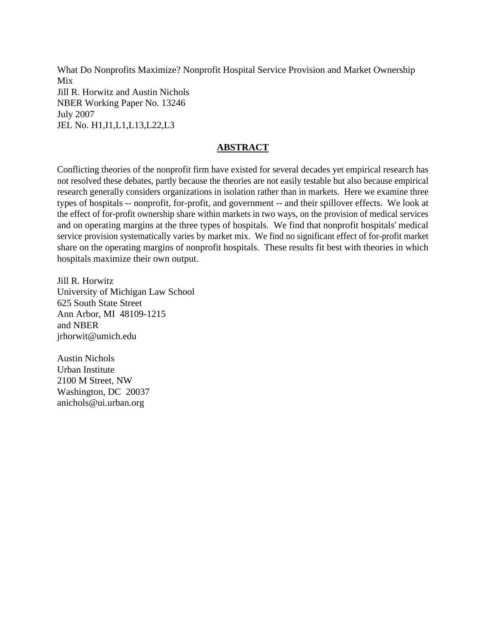What Do Nonprofits Maximize? Nonprofit Hospital Service Provision and Market Ownership Mix Jill R. Horwitz and Austin Nichols NBER Working Paper No. 13246 July 2007 JEL No. H1,I1,L1,L13,L22,L3

# **ABSTRACT**

Conflicting theories of the nonprofit firm have existed for several decades yet empirical research has not resolved these debates, partly because the theories are not easily testable but also because empirical research generally considers organizations in isolation rather than in markets. Here we examine three types of hospitals -- nonprofit, for-profit, and government -- and their spillover effects. We look at the effect of for-profit ownership share within markets in two ways, on the provision of medical services and on operating margins at the three types of hospitals. We find that nonprofit hospitals' medical service provision systematically varies by market mix. We find no significant effect of for-profit market share on the operating margins of nonprofit hospitals. These results fit best with theories in which hospitals maximize their own output.

Jill R. Horwitz University of Michigan Law School 625 South State Street Ann Arbor, MI 48109-1215 and NBER jrhorwit@umich.edu

Austin Nichols Urban Institute 2100 M Street, NW Washington, DC 20037 anichols@ui.urban.org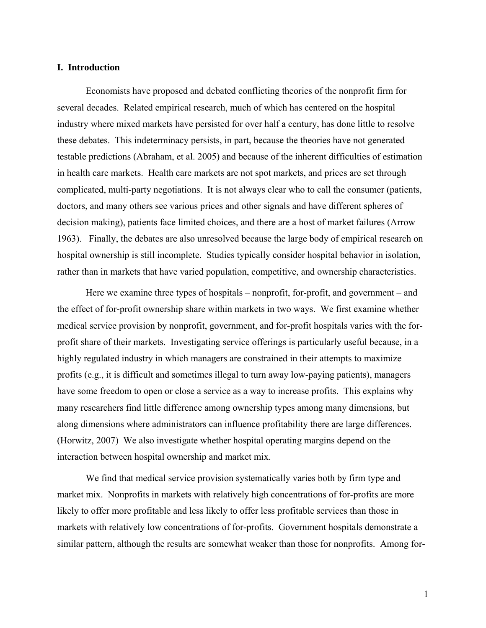### **I. Introduction**

Economists have proposed and debated conflicting theories of the nonprofit firm for several decades. Related empirical research, much of which has centered on the hospital industry where mixed markets have persisted for over half a century, has done little to resolve these debates. This indeterminacy persists, in part, because the theories have not generated testable predictions (Abraham, et al. 2005) and because of the inherent difficulties of estimation in health care markets. Health care markets are not spot markets, and prices are set through complicated, multi-party negotiations. It is not always clear who to call the consumer (patients, doctors, and many others see various prices and other signals and have different spheres of decision making), patients face limited choices, and there are a host of market failures (Arrow 1963). Finally, the debates are also unresolved because the large body of empirical research on hospital ownership is still incomplete. Studies typically consider hospital behavior in isolation, rather than in markets that have varied population, competitive, and ownership characteristics.

Here we examine three types of hospitals – nonprofit, for-profit, and government – and the effect of for-profit ownership share within markets in two ways. We first examine whether medical service provision by nonprofit, government, and for-profit hospitals varies with the forprofit share of their markets. Investigating service offerings is particularly useful because, in a highly regulated industry in which managers are constrained in their attempts to maximize profits (e.g., it is difficult and sometimes illegal to turn away low-paying patients), managers have some freedom to open or close a service as a way to increase profits. This explains why many researchers find little difference among ownership types among many dimensions, but along dimensions where administrators can influence profitability there are large differences. (Horwitz, 2007) We also investigate whether hospital operating margins depend on the interaction between hospital ownership and market mix.

We find that medical service provision systematically varies both by firm type and market mix. Nonprofits in markets with relatively high concentrations of for-profits are more likely to offer more profitable and less likely to offer less profitable services than those in markets with relatively low concentrations of for-profits. Government hospitals demonstrate a similar pattern, although the results are somewhat weaker than those for nonprofits. Among for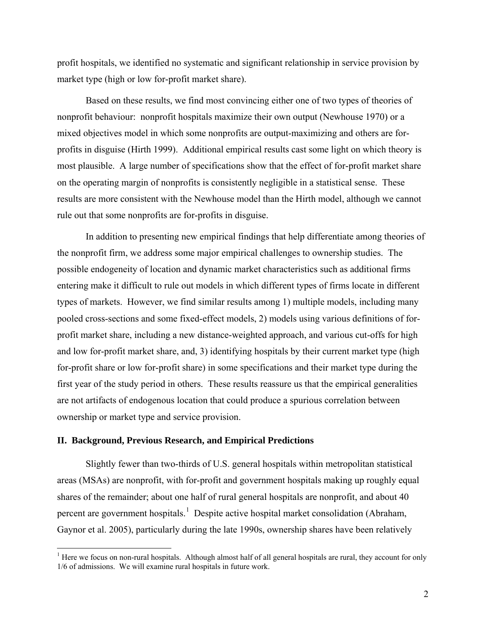profit hospitals, we identified no systematic and significant relationship in service provision by market type (high or low for-profit market share).

Based on these results, we find most convincing either one of two types of theories of nonprofit behaviour: nonprofit hospitals maximize their own output (Newhouse 1970) or a mixed objectives model in which some nonprofits are output-maximizing and others are forprofits in disguise (Hirth 1999). Additional empirical results cast some light on which theory is most plausible. A large number of specifications show that the effect of for-profit market share on the operating margin of nonprofits is consistently negligible in a statistical sense. These results are more consistent with the Newhouse model than the Hirth model, although we cannot rule out that some nonprofits are for-profits in disguise.

In addition to presenting new empirical findings that help differentiate among theories of the nonprofit firm, we address some major empirical challenges to ownership studies. The possible endogeneity of location and dynamic market characteristics such as additional firms entering make it difficult to rule out models in which different types of firms locate in different types of markets. However, we find similar results among 1) multiple models, including many pooled cross-sections and some fixed-effect models, 2) models using various definitions of forprofit market share, including a new distance-weighted approach, and various cut-offs for high and low for-profit market share, and, 3) identifying hospitals by their current market type (high for-profit share or low for-profit share) in some specifications and their market type during the first year of the study period in others. These results reassure us that the empirical generalities are not artifacts of endogenous location that could produce a spurious correlation between ownership or market type and service provision.

## **II. Background, Previous Research, and Empirical Predictions**

 $\overline{a}$ 

Slightly fewer than two-thirds of U.S. general hospitals within metropolitan statistical areas (MSAs) are nonprofit, with for-profit and government hospitals making up roughly equal shares of the remainder; about one half of rural general hospitals are nonprofit, and about 40 percent are government hospitals.<sup>[1](#page-3-0)</sup> Despite active hospital market consolidation (Abraham, Gaynor et al. 2005), particularly during the late 1990s, ownership shares have been relatively

<span id="page-3-0"></span> $<sup>1</sup>$  Here we focus on non-rural hospitals. Although almost half of all general hospitals are rural, they account for only</sup> 1/6 of admissions. We will examine rural hospitals in future work.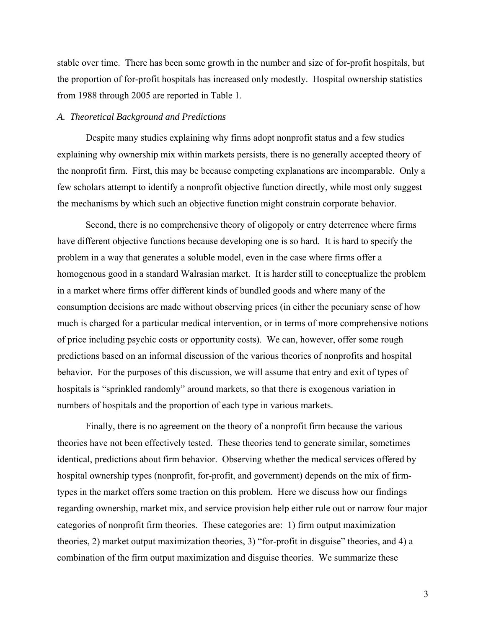stable over time. There has been some growth in the number and size of for-profit hospitals, but the proportion of for-profit hospitals has increased only modestly. Hospital ownership statistics from 1988 through 2005 are reported in Table 1.

#### *A. Theoretical Background and Predictions*

Despite many studies explaining why firms adopt nonprofit status and a few studies explaining why ownership mix within markets persists, there is no generally accepted theory of the nonprofit firm. First, this may be because competing explanations are incomparable. Only a few scholars attempt to identify a nonprofit objective function directly, while most only suggest the mechanisms by which such an objective function might constrain corporate behavior.

Second, there is no comprehensive theory of oligopoly or entry deterrence where firms have different objective functions because developing one is so hard. It is hard to specify the problem in a way that generates a soluble model, even in the case where firms offer a homogenous good in a standard Walrasian market. It is harder still to conceptualize the problem in a market where firms offer different kinds of bundled goods and where many of the consumption decisions are made without observing prices (in either the pecuniary sense of how much is charged for a particular medical intervention, or in terms of more comprehensive notions of price including psychic costs or opportunity costs). We can, however, offer some rough predictions based on an informal discussion of the various theories of nonprofits and hospital behavior. For the purposes of this discussion, we will assume that entry and exit of types of hospitals is "sprinkled randomly" around markets, so that there is exogenous variation in numbers of hospitals and the proportion of each type in various markets.

Finally, there is no agreement on the theory of a nonprofit firm because the various theories have not been effectively tested. These theories tend to generate similar, sometimes identical, predictions about firm behavior. Observing whether the medical services offered by hospital ownership types (nonprofit, for-profit, and government) depends on the mix of firmtypes in the market offers some traction on this problem. Here we discuss how our findings regarding ownership, market mix, and service provision help either rule out or narrow four major categories of nonprofit firm theories. These categories are: 1) firm output maximization theories, 2) market output maximization theories, 3) "for-profit in disguise" theories, and 4) a combination of the firm output maximization and disguise theories. We summarize these

3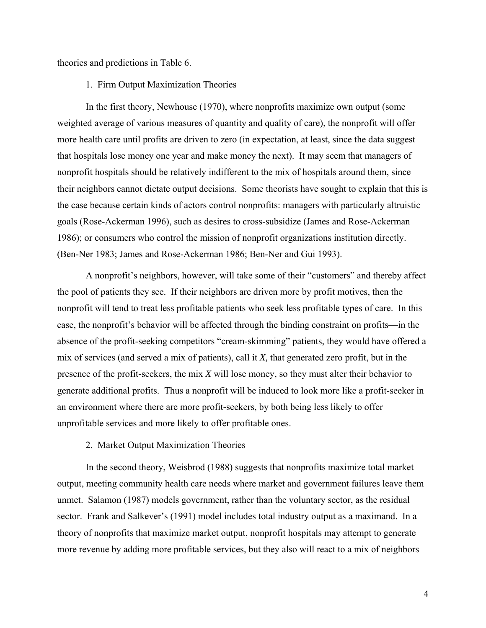theories and predictions in Table 6.

### 1. Firm Output Maximization Theories

In the first theory, Newhouse (1970), where nonprofits maximize own output (some weighted average of various measures of quantity and quality of care), the nonprofit will offer more health care until profits are driven to zero (in expectation, at least, since the data suggest that hospitals lose money one year and make money the next). It may seem that managers of nonprofit hospitals should be relatively indifferent to the mix of hospitals around them, since their neighbors cannot dictate output decisions. Some theorists have sought to explain that this is the case because certain kinds of actors control nonprofits: managers with particularly altruistic goals (Rose-Ackerman 1996), such as desires to cross-subsidize (James and Rose-Ackerman 1986); or consumers who control the mission of nonprofit organizations institution directly. (Ben-Ner 1983; James and Rose-Ackerman 1986; Ben-Ner and Gui 1993).

A nonprofit's neighbors, however, will take some of their "customers" and thereby affect the pool of patients they see. If their neighbors are driven more by profit motives, then the nonprofit will tend to treat less profitable patients who seek less profitable types of care. In this case, the nonprofit's behavior will be affected through the binding constraint on profits—in the absence of the profit-seeking competitors "cream-skimming" patients, they would have offered a mix of services (and served a mix of patients), call it *X,* that generated zero profit, but in the presence of the profit-seekers, the mix *X* will lose money, so they must alter their behavior to generate additional profits. Thus a nonprofit will be induced to look more like a profit-seeker in an environment where there are more profit-seekers, by both being less likely to offer unprofitable services and more likely to offer profitable ones.

## 2. Market Output Maximization Theories

In the second theory, Weisbrod (1988) suggests that nonprofits maximize total market output, meeting community health care needs where market and government failures leave them unmet. Salamon (1987) models government, rather than the voluntary sector, as the residual sector. Frank and Salkever's (1991) model includes total industry output as a maximand. In a theory of nonprofits that maximize market output, nonprofit hospitals may attempt to generate more revenue by adding more profitable services, but they also will react to a mix of neighbors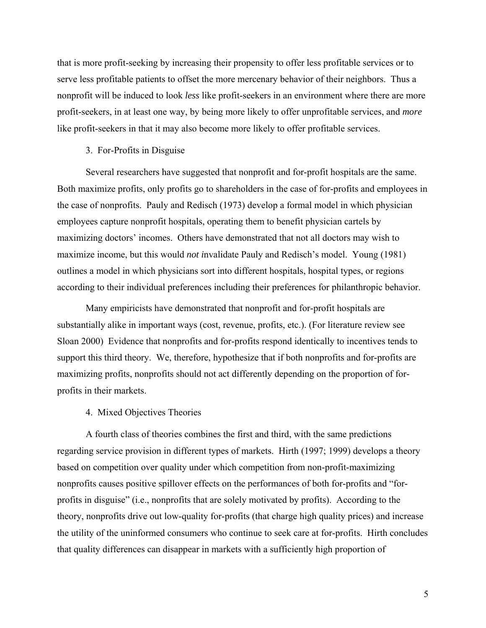that is more profit-seeking by increasing their propensity to offer less profitable services or to serve less profitable patients to offset the more mercenary behavior of their neighbors. Thus a nonprofit will be induced to look *less* like profit-seekers in an environment where there are more profit-seekers, in at least one way, by being more likely to offer unprofitable services, and *more* like profit-seekers in that it may also become more likely to offer profitable services.

### 3. For-Profits in Disguise

Several researchers have suggested that nonprofit and for-profit hospitals are the same. Both maximize profits, only profits go to shareholders in the case of for-profits and employees in the case of nonprofits. Pauly and Redisch (1973) develop a formal model in which physician employees capture nonprofit hospitals, operating them to benefit physician cartels by maximizing doctors' incomes. Others have demonstrated that not all doctors may wish to maximize income, but this would *not i*nvalidate Pauly and Redisch's model. Young (1981) outlines a model in which physicians sort into different hospitals, hospital types, or regions according to their individual preferences including their preferences for philanthropic behavior.

Many empiricists have demonstrated that nonprofit and for-profit hospitals are substantially alike in important ways (cost, revenue, profits, etc.). (For literature review see Sloan 2000) Evidence that nonprofits and for-profits respond identically to incentives tends to support this third theory. We, therefore, hypothesize that if both nonprofits and for-profits are maximizing profits, nonprofits should not act differently depending on the proportion of forprofits in their markets.

### 4. Mixed Objectives Theories

A fourth class of theories combines the first and third, with the same predictions regarding service provision in different types of markets. Hirth (1997; 1999) develops a theory based on competition over quality under which competition from non-profit-maximizing nonprofits causes positive spillover effects on the performances of both for-profits and "forprofits in disguise" (i.e., nonprofits that are solely motivated by profits). According to the theory, nonprofits drive out low-quality for-profits (that charge high quality prices) and increase the utility of the uninformed consumers who continue to seek care at for-profits. Hirth concludes that quality differences can disappear in markets with a sufficiently high proportion of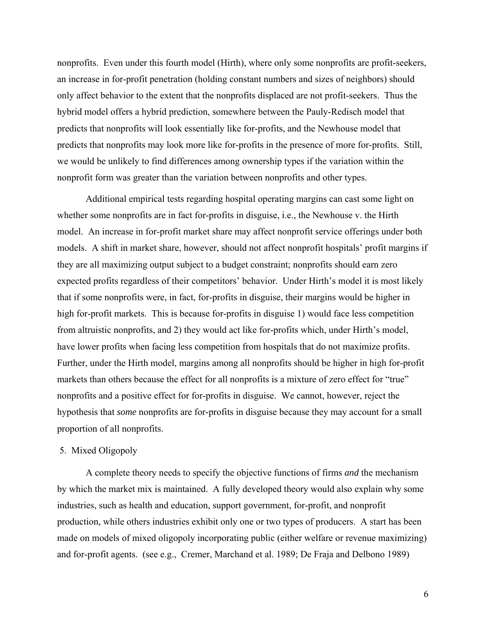nonprofits. Even under this fourth model (Hirth), where only some nonprofits are profit-seekers, an increase in for-profit penetration (holding constant numbers and sizes of neighbors) should only affect behavior to the extent that the nonprofits displaced are not profit-seekers. Thus the hybrid model offers a hybrid prediction, somewhere between the Pauly-Redisch model that predicts that nonprofits will look essentially like for-profits, and the Newhouse model that predicts that nonprofits may look more like for-profits in the presence of more for-profits. Still, we would be unlikely to find differences among ownership types if the variation within the nonprofit form was greater than the variation between nonprofits and other types.

Additional empirical tests regarding hospital operating margins can cast some light on whether some nonprofits are in fact for-profits in disguise, i.e., the Newhouse v. the Hirth model. An increase in for-profit market share may affect nonprofit service offerings under both models. A shift in market share, however, should not affect nonprofit hospitals' profit margins if they are all maximizing output subject to a budget constraint; nonprofits should earn zero expected profits regardless of their competitors' behavior. Under Hirth's model it is most likely that if some nonprofits were, in fact, for-profits in disguise, their margins would be higher in high for-profit markets. This is because for-profits in disguise 1) would face less competition from altruistic nonprofits, and 2) they would act like for-profits which, under Hirth's model, have lower profits when facing less competition from hospitals that do not maximize profits. Further, under the Hirth model, margins among all nonprofits should be higher in high for-profit markets than others because the effect for all nonprofits is a mixture of zero effect for "true" nonprofits and a positive effect for for-profits in disguise. We cannot, however, reject the hypothesis that *some* nonprofits are for-profits in disguise because they may account for a small proportion of all nonprofits.

### 5. Mixed Oligopoly

A complete theory needs to specify the objective functions of firms *and* the mechanism by which the market mix is maintained. A fully developed theory would also explain why some industries, such as health and education, support government, for-profit, and nonprofit production, while others industries exhibit only one or two types of producers. A start has been made on models of mixed oligopoly incorporating public (either welfare or revenue maximizing) and for-profit agents. (see e.g., Cremer, Marchand et al. 1989; De Fraja and Delbono 1989)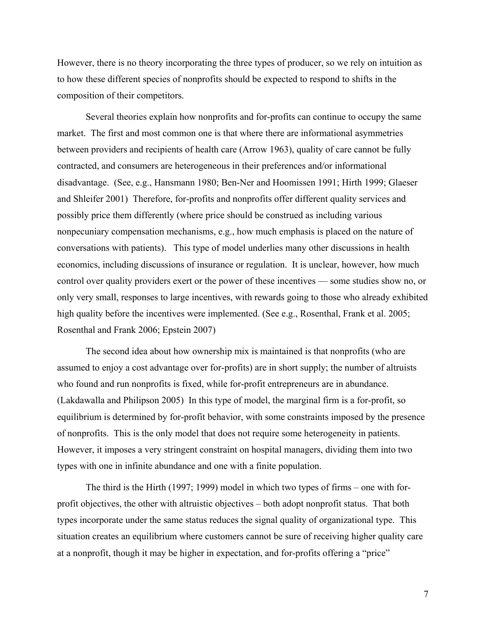However, there is no theory incorporating the three types of producer, so we rely on intuition as to how these different species of nonprofits should be expected to respond to shifts in the composition of their competitors.

Several theories explain how nonprofits and for-profits can continue to occupy the same market. The first and most common one is that where there are informational asymmetries between providers and recipients of health care (Arrow 1963), quality of care cannot be fully contracted, and consumers are heterogeneous in their preferences and/or informational disadvantage. (See, e.g., Hansmann 1980; Ben-Ner and Hoomissen 1991; Hirth 1999; Glaeser and Shleifer 2001) Therefore, for-profits and nonprofits offer different quality services and possibly price them differently (where price should be construed as including various nonpecuniary compensation mechanisms, e.g., how much emphasis is placed on the nature of conversations with patients). This type of model underlies many other discussions in health economics, including discussions of insurance or regulation. It is unclear, however, how much control over quality providers exert or the power of these incentives — some studies show no, or only very small, responses to large incentives, with rewards going to those who already exhibited high quality before the incentives were implemented. (See e.g., Rosenthal, Frank et al. 2005; Rosenthal and Frank 2006; Epstein 2007)

The second idea about how ownership mix is maintained is that nonprofits (who are assumed to enjoy a cost advantage over for-profits) are in short supply; the number of altruists who found and run nonprofits is fixed, while for-profit entrepreneurs are in abundance. (Lakdawalla and Philipson 2005) In this type of model, the marginal firm is a for-profit, so equilibrium is determined by for-profit behavior, with some constraints imposed by the presence of nonprofits. This is the only model that does not require some heterogeneity in patients. However, it imposes a very stringent constraint on hospital managers, dividing them into two types with one in infinite abundance and one with a finite population.

The third is the Hirth (1997; 1999) model in which two types of firms – one with forprofit objectives, the other with altruistic objectives – both adopt nonprofit status. That both types incorporate under the same status reduces the signal quality of organizational type. This situation creates an equilibrium where customers cannot be sure of receiving higher quality care at a nonprofit, though it may be higher in expectation, and for-profits offering a "price"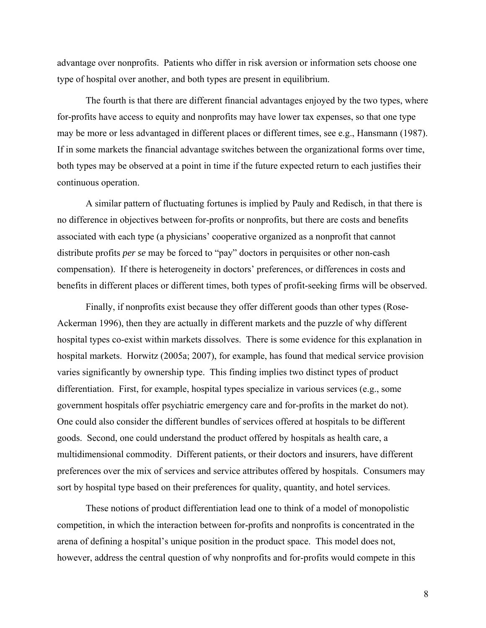advantage over nonprofits. Patients who differ in risk aversion or information sets choose one type of hospital over another, and both types are present in equilibrium.

The fourth is that there are different financial advantages enjoyed by the two types, where for-profits have access to equity and nonprofits may have lower tax expenses, so that one type may be more or less advantaged in different places or different times, see e.g., Hansmann (1987). If in some markets the financial advantage switches between the organizational forms over time, both types may be observed at a point in time if the future expected return to each justifies their continuous operation.

A similar pattern of fluctuating fortunes is implied by Pauly and Redisch, in that there is no difference in objectives between for-profits or nonprofits, but there are costs and benefits associated with each type (a physicians' cooperative organized as a nonprofit that cannot distribute profits *per se* may be forced to "pay" doctors in perquisites or other non-cash compensation). If there is heterogeneity in doctors' preferences, or differences in costs and benefits in different places or different times, both types of profit-seeking firms will be observed.

Finally, if nonprofits exist because they offer different goods than other types (Rose-Ackerman 1996), then they are actually in different markets and the puzzle of why different hospital types co-exist within markets dissolves. There is some evidence for this explanation in hospital markets. Horwitz (2005a; 2007), for example, has found that medical service provision varies significantly by ownership type. This finding implies two distinct types of product differentiation. First, for example, hospital types specialize in various services (e.g., some government hospitals offer psychiatric emergency care and for-profits in the market do not). One could also consider the different bundles of services offered at hospitals to be different goods. Second, one could understand the product offered by hospitals as health care, a multidimensional commodity. Different patients, or their doctors and insurers, have different preferences over the mix of services and service attributes offered by hospitals. Consumers may sort by hospital type based on their preferences for quality, quantity, and hotel services.

These notions of product differentiation lead one to think of a model of monopolistic competition, in which the interaction between for-profits and nonprofits is concentrated in the arena of defining a hospital's unique position in the product space. This model does not, however, address the central question of why nonprofits and for-profits would compete in this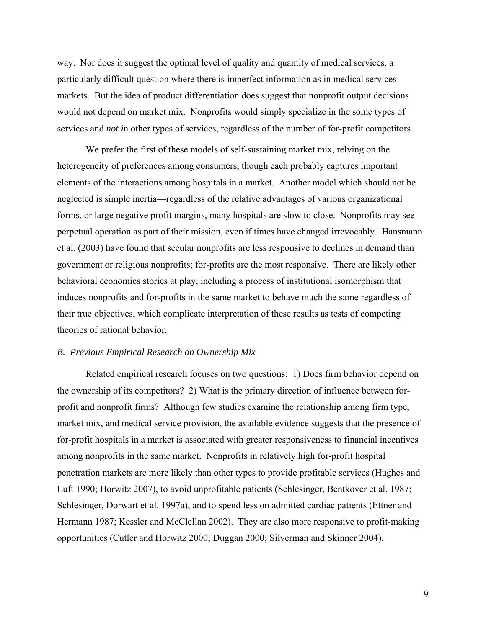way. Nor does it suggest the optimal level of quality and quantity of medical services, a particularly difficult question where there is imperfect information as in medical services markets. But the idea of product differentiation does suggest that nonprofit output decisions would not depend on market mix. Nonprofits would simply specialize in the some types of services and *not i*n other types of services, regardless of the number of for-profit competitors.

We prefer the first of these models of self-sustaining market mix, relying on the heterogeneity of preferences among consumers, though each probably captures important elements of the interactions among hospitals in a market. Another model which should not be neglected is simple inertia—regardless of the relative advantages of various organizational forms, or large negative profit margins, many hospitals are slow to close. Nonprofits may see perpetual operation as part of their mission, even if times have changed irrevocably. Hansmann et al. (2003) have found that secular nonprofits are less responsive to declines in demand than government or religious nonprofits; for-profits are the most responsive. There are likely other behavioral economics stories at play, including a process of institutional isomorphism that induces nonprofits and for-profits in the same market to behave much the same regardless of their true objectives, which complicate interpretation of these results as tests of competing theories of rational behavior.

#### *B. Previous Empirical Research on Ownership Mix*

Related empirical research focuses on two questions: 1) Does firm behavior depend on the ownership of its competitors? 2) What is the primary direction of influence between forprofit and nonprofit firms? Although few studies examine the relationship among firm type, market mix, and medical service provision, the available evidence suggests that the presence of for-profit hospitals in a market is associated with greater responsiveness to financial incentives among nonprofits in the same market. Nonprofits in relatively high for-profit hospital penetration markets are more likely than other types to provide profitable services (Hughes and Luft 1990; Horwitz 2007), to avoid unprofitable patients (Schlesinger, Bentkover et al. 1987; Schlesinger, Dorwart et al. 1997a), and to spend less on admitted cardiac patients (Ettner and Hermann 1987; Kessler and McClellan 2002). They are also more responsive to profit-making opportunities (Cutler and Horwitz 2000; Duggan 2000; Silverman and Skinner 2004).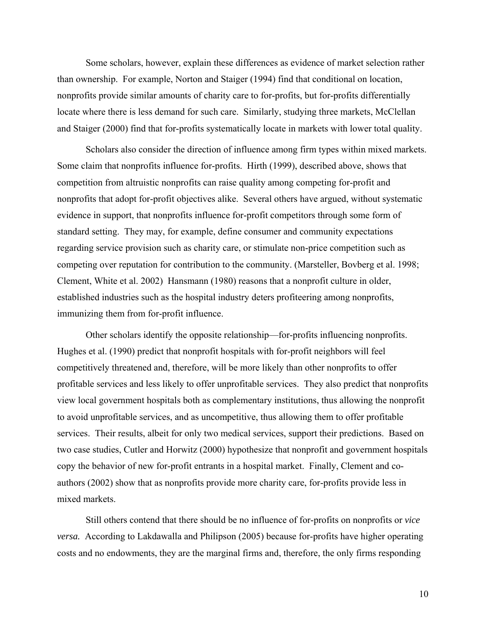Some scholars, however, explain these differences as evidence of market selection rather than ownership. For example, Norton and Staiger (1994) find that conditional on location, nonprofits provide similar amounts of charity care to for-profits, but for-profits differentially locate where there is less demand for such care. Similarly, studying three markets, McClellan and Staiger (2000) find that for-profits systematically locate in markets with lower total quality.

Scholars also consider the direction of influence among firm types within mixed markets. Some claim that nonprofits influence for-profits. Hirth (1999), described above, shows that competition from altruistic nonprofits can raise quality among competing for-profit and nonprofits that adopt for-profit objectives alike. Several others have argued, without systematic evidence in support, that nonprofits influence for-profit competitors through some form of standard setting. They may, for example, define consumer and community expectations regarding service provision such as charity care, or stimulate non-price competition such as competing over reputation for contribution to the community. (Marsteller, Bovberg et al. 1998; Clement, White et al. 2002) Hansmann (1980) reasons that a nonprofit culture in older, established industries such as the hospital industry deters profiteering among nonprofits, immunizing them from for-profit influence.

Other scholars identify the opposite relationship—for-profits influencing nonprofits. Hughes et al. (1990) predict that nonprofit hospitals with for-profit neighbors will feel competitively threatened and, therefore, will be more likely than other nonprofits to offer profitable services and less likely to offer unprofitable services. They also predict that nonprofits view local government hospitals both as complementary institutions, thus allowing the nonprofit to avoid unprofitable services, and as uncompetitive, thus allowing them to offer profitable services. Their results, albeit for only two medical services, support their predictions. Based on two case studies, Cutler and Horwitz (2000) hypothesize that nonprofit and government hospitals copy the behavior of new for-profit entrants in a hospital market. Finally, Clement and coauthors (2002) show that as nonprofits provide more charity care, for-profits provide less in mixed markets.

Still others contend that there should be no influence of for-profits on nonprofits or *vice versa.* According to Lakdawalla and Philipson (2005) because for-profits have higher operating costs and no endowments, they are the marginal firms and, therefore, the only firms responding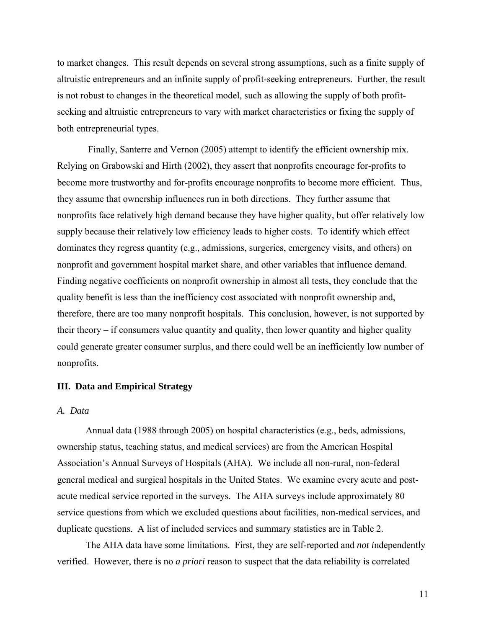to market changes. This result depends on several strong assumptions, such as a finite supply of altruistic entrepreneurs and an infinite supply of profit-seeking entrepreneurs. Further, the result is not robust to changes in the theoretical model, such as allowing the supply of both profitseeking and altruistic entrepreneurs to vary with market characteristics or fixing the supply of both entrepreneurial types.

 Finally, Santerre and Vernon (2005) attempt to identify the efficient ownership mix. Relying on Grabowski and Hirth (2002), they assert that nonprofits encourage for-profits to become more trustworthy and for-profits encourage nonprofits to become more efficient. Thus, they assume that ownership influences run in both directions. They further assume that nonprofits face relatively high demand because they have higher quality, but offer relatively low supply because their relatively low efficiency leads to higher costs. To identify which effect dominates they regress quantity (e.g., admissions, surgeries, emergency visits, and others) on nonprofit and government hospital market share, and other variables that influence demand. Finding negative coefficients on nonprofit ownership in almost all tests, they conclude that the quality benefit is less than the inefficiency cost associated with nonprofit ownership and, therefore, there are too many nonprofit hospitals. This conclusion, however, is not supported by their theory – if consumers value quantity and quality, then lower quantity and higher quality could generate greater consumer surplus, and there could well be an inefficiently low number of nonprofits.

## **III. Data and Empirical Strategy**

## *A. Data*

 Annual data (1988 through 2005) on hospital characteristics (e.g., beds, admissions, ownership status, teaching status, and medical services) are from the American Hospital Association's Annual Surveys of Hospitals (AHA). We include all non-rural, non-federal general medical and surgical hospitals in the United States. We examine every acute and postacute medical service reported in the surveys. The AHA surveys include approximately 80 service questions from which we excluded questions about facilities, non-medical services, and duplicate questions. A list of included services and summary statistics are in Table 2.

 The AHA data have some limitations. First, they are self-reported and *not i*ndependently verified. However, there is no *a priori* reason to suspect that the data reliability is correlated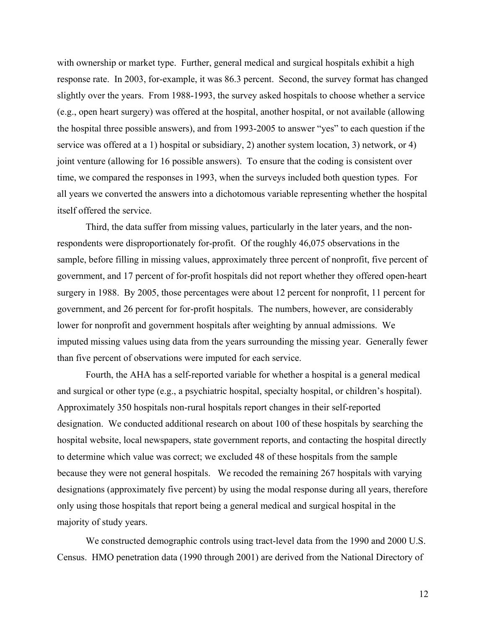with ownership or market type. Further, general medical and surgical hospitals exhibit a high response rate. In 2003, for-example, it was 86.3 percent. Second, the survey format has changed slightly over the years. From 1988-1993, the survey asked hospitals to choose whether a service (e.g., open heart surgery) was offered at the hospital, another hospital, or not available (allowing the hospital three possible answers), and from 1993-2005 to answer "yes" to each question if the service was offered at a 1) hospital or subsidiary, 2) another system location, 3) network, or 4) joint venture (allowing for 16 possible answers). To ensure that the coding is consistent over time, we compared the responses in 1993, when the surveys included both question types. For all years we converted the answers into a dichotomous variable representing whether the hospital itself offered the service.

Third, the data suffer from missing values, particularly in the later years, and the nonrespondents were disproportionately for-profit. Of the roughly 46,075 observations in the sample, before filling in missing values, approximately three percent of nonprofit, five percent of government, and 17 percent of for-profit hospitals did not report whether they offered open-heart surgery in 1988. By 2005, those percentages were about 12 percent for nonprofit, 11 percent for government, and 26 percent for for-profit hospitals. The numbers, however, are considerably lower for nonprofit and government hospitals after weighting by annual admissions. We imputed missing values using data from the years surrounding the missing year. Generally fewer than five percent of observations were imputed for each service.

 Fourth, the AHA has a self-reported variable for whether a hospital is a general medical and surgical or other type (e.g., a psychiatric hospital, specialty hospital, or children's hospital). Approximately 350 hospitals non-rural hospitals report changes in their self-reported designation. We conducted additional research on about 100 of these hospitals by searching the hospital website, local newspapers, state government reports, and contacting the hospital directly to determine which value was correct; we excluded 48 of these hospitals from the sample because they were not general hospitals. We recoded the remaining 267 hospitals with varying designations (approximately five percent) by using the modal response during all years, therefore only using those hospitals that report being a general medical and surgical hospital in the majority of study years.

We constructed demographic controls using tract-level data from the 1990 and 2000 U.S. Census. HMO penetration data (1990 through 2001) are derived from the National Directory of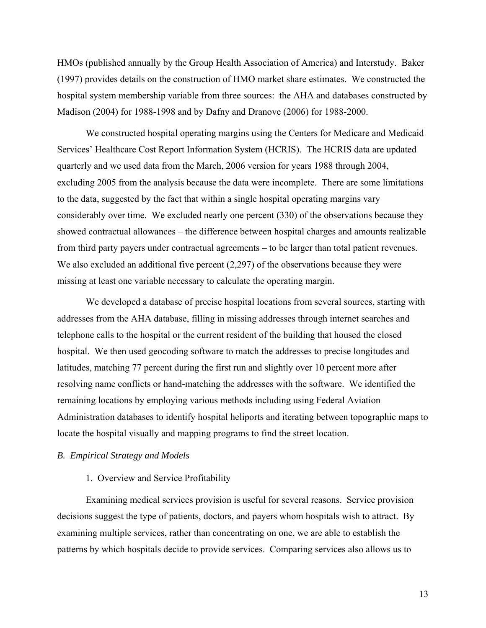HMOs (published annually by the Group Health Association of America) and Interstudy. Baker (1997) provides details on the construction of HMO market share estimates. We constructed the hospital system membership variable from three sources: the AHA and databases constructed by Madison (2004) for 1988-1998 and by Dafny and Dranove (2006) for 1988-2000.

We constructed hospital operating margins using the Centers for Medicare and Medicaid Services' Healthcare Cost Report Information System (HCRIS). The HCRIS data are updated quarterly and we used data from the March, 2006 version for years 1988 through 2004, excluding 2005 from the analysis because the data were incomplete. There are some limitations to the data, suggested by the fact that within a single hospital operating margins vary considerably over time. We excluded nearly one percent (330) of the observations because they showed contractual allowances – the difference between hospital charges and amounts realizable from third party payers under contractual agreements – to be larger than total patient revenues. We also excluded an additional five percent  $(2,297)$  of the observations because they were missing at least one variable necessary to calculate the operating margin.

We developed a database of precise hospital locations from several sources, starting with addresses from the AHA database, filling in missing addresses through internet searches and telephone calls to the hospital or the current resident of the building that housed the closed hospital. We then used geocoding software to match the addresses to precise longitudes and latitudes, matching 77 percent during the first run and slightly over 10 percent more after resolving name conflicts or hand-matching the addresses with the software. We identified the remaining locations by employing various methods including using Federal Aviation Administration databases to identify hospital heliports and iterating between topographic maps to locate the hospital visually and mapping programs to find the street location.

## *B. Empirical Strategy and Models*

### 1. Overview and Service Profitability

Examining medical services provision is useful for several reasons. Service provision decisions suggest the type of patients, doctors, and payers whom hospitals wish to attract. By examining multiple services, rather than concentrating on one, we are able to establish the patterns by which hospitals decide to provide services. Comparing services also allows us to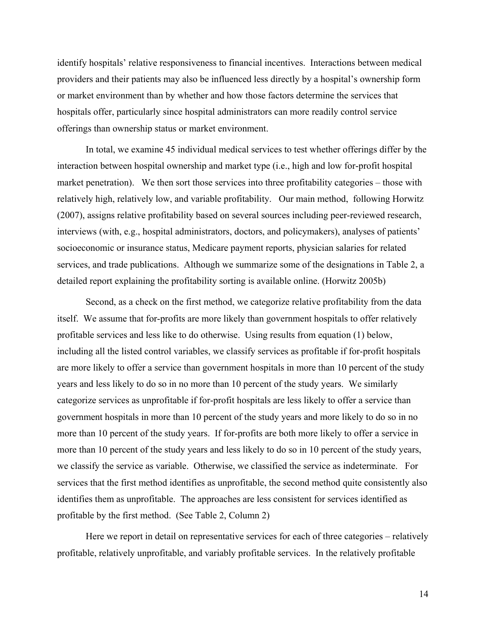identify hospitals' relative responsiveness to financial incentives. Interactions between medical providers and their patients may also be influenced less directly by a hospital's ownership form or market environment than by whether and how those factors determine the services that hospitals offer, particularly since hospital administrators can more readily control service offerings than ownership status or market environment.

In total, we examine 45 individual medical services to test whether offerings differ by the interaction between hospital ownership and market type (i.e., high and low for-profit hospital market penetration). We then sort those services into three profitability categories – those with relatively high, relatively low, and variable profitability. Our main method, following Horwitz (2007), assigns relative profitability based on several sources including peer-reviewed research, interviews (with, e.g., hospital administrators, doctors, and policymakers), analyses of patients' socioeconomic or insurance status, Medicare payment reports, physician salaries for related services, and trade publications. Although we summarize some of the designations in Table 2, a detailed report explaining the profitability sorting is available online. (Horwitz 2005b)

Second, as a check on the first method, we categorize relative profitability from the data itself. We assume that for-profits are more likely than government hospitals to offer relatively profitable services and less like to do otherwise. Using results from equation (1) below, including all the listed control variables, we classify services as profitable if for-profit hospitals are more likely to offer a service than government hospitals in more than 10 percent of the study years and less likely to do so in no more than 10 percent of the study years. We similarly categorize services as unprofitable if for-profit hospitals are less likely to offer a service than government hospitals in more than 10 percent of the study years and more likely to do so in no more than 10 percent of the study years. If for-profits are both more likely to offer a service in more than 10 percent of the study years and less likely to do so in 10 percent of the study years, we classify the service as variable. Otherwise, we classified the service as indeterminate. For services that the first method identifies as unprofitable, the second method quite consistently also identifies them as unprofitable. The approaches are less consistent for services identified as profitable by the first method. (See Table 2, Column 2)

Here we report in detail on representative services for each of three categories – relatively profitable, relatively unprofitable, and variably profitable services. In the relatively profitable

14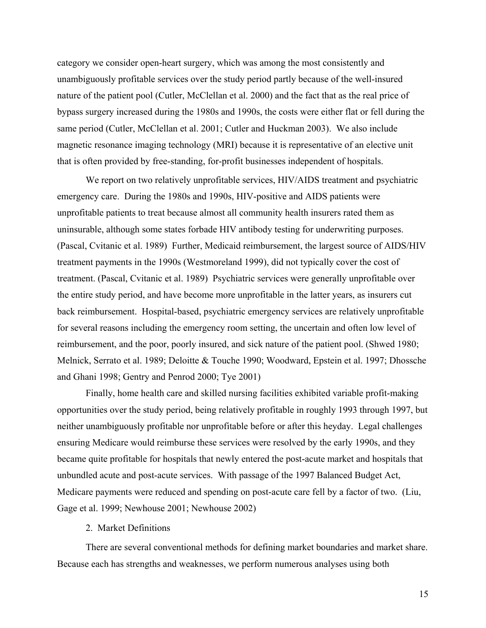category we consider open-heart surgery, which was among the most consistently and unambiguously profitable services over the study period partly because of the well-insured nature of the patient pool (Cutler, McClellan et al. 2000) and the fact that as the real price of bypass surgery increased during the 1980s and 1990s, the costs were either flat or fell during the same period (Cutler, McClellan et al. 2001; Cutler and Huckman 2003). We also include magnetic resonance imaging technology (MRI) because it is representative of an elective unit that is often provided by free-standing, for-profit businesses independent of hospitals.

We report on two relatively unprofitable services, HIV/AIDS treatment and psychiatric emergency care. During the 1980s and 1990s, HIV-positive and AIDS patients were unprofitable patients to treat because almost all community health insurers rated them as uninsurable, although some states forbade HIV antibody testing for underwriting purposes. (Pascal, Cvitanic et al. 1989) Further, Medicaid reimbursement, the largest source of AIDS/HIV treatment payments in the 1990s (Westmoreland 1999), did not typically cover the cost of treatment. (Pascal, Cvitanic et al. 1989) Psychiatric services were generally unprofitable over the entire study period, and have become more unprofitable in the latter years, as insurers cut back reimbursement. Hospital-based, psychiatric emergency services are relatively unprofitable for several reasons including the emergency room setting, the uncertain and often low level of reimbursement, and the poor, poorly insured, and sick nature of the patient pool. (Shwed 1980; Melnick, Serrato et al. 1989; Deloitte & Touche 1990; Woodward, Epstein et al. 1997; Dhossche and Ghani 1998; Gentry and Penrod 2000; Tye 2001)

Finally, home health care and skilled nursing facilities exhibited variable profit-making opportunities over the study period, being relatively profitable in roughly 1993 through 1997, but neither unambiguously profitable nor unprofitable before or after this heyday. Legal challenges ensuring Medicare would reimburse these services were resolved by the early 1990s, and they became quite profitable for hospitals that newly entered the post-acute market and hospitals that unbundled acute and post-acute services. With passage of the 1997 Balanced Budget Act, Medicare payments were reduced and spending on post-acute care fell by a factor of two. (Liu, Gage et al. 1999; Newhouse 2001; Newhouse 2002)

## 2. Market Definitions

There are several conventional methods for defining market boundaries and market share. Because each has strengths and weaknesses, we perform numerous analyses using both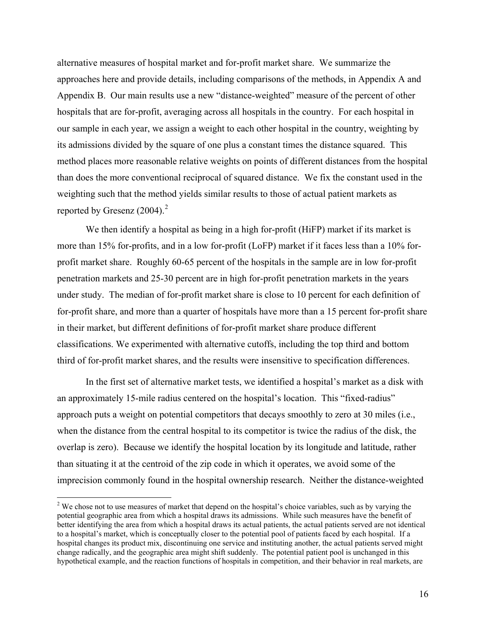alternative measures of hospital market and for-profit market share. We summarize the approaches here and provide details, including comparisons of the methods, in Appendix A and Appendix B. Our main results use a new "distance-weighted" measure of the percent of other hospitals that are for-profit, averaging across all hospitals in the country. For each hospital in our sample in each year, we assign a weight to each other hospital in the country, weighting by its admissions divided by the square of one plus a constant times the distance squared. This method places more reasonable relative weights on points of different distances from the hospital than does the more conventional reciprocal of squared distance. We fix the constant used in the weighting such that the method yields similar results to those of actual patient markets as reported by Gresenz  $(2004).$  $(2004).$  $(2004).$ <sup>2</sup>

We then identify a hospital as being in a high for-profit (HiFP) market if its market is more than 15% for-profits, and in a low for-profit (LoFP) market if it faces less than a 10% forprofit market share. Roughly 60-65 percent of the hospitals in the sample are in low for-profit penetration markets and 25-30 percent are in high for-profit penetration markets in the years under study. The median of for-profit market share is close to 10 percent for each definition of for-profit share, and more than a quarter of hospitals have more than a 15 percent for-profit share in their market, but different definitions of for-profit market share produce different classifications. We experimented with alternative cutoffs, including the top third and bottom third of for-profit market shares, and the results were insensitive to specification differences.

In the first set of alternative market tests, we identified a hospital's market as a disk with an approximately 15-mile radius centered on the hospital's location. This "fixed-radius" approach puts a weight on potential competitors that decays smoothly to zero at 30 miles (i.e., when the distance from the central hospital to its competitor is twice the radius of the disk, the overlap is zero). Because we identify the hospital location by its longitude and latitude, rather than situating it at the centroid of the zip code in which it operates, we avoid some of the imprecision commonly found in the hospital ownership research. Neither the distance-weighted

 $\overline{a}$ 

<span id="page-17-0"></span> $2^2$  We chose not to use measures of market that depend on the hospital's choice variables, such as by varying the potential geographic area from which a hospital draws its admissions. While such measures have the benefit of better identifying the area from which a hospital draws its actual patients, the actual patients served are not identical to a hospital's market, which is conceptually closer to the potential pool of patients faced by each hospital. If a hospital changes its product mix, discontinuing one service and instituting another, the actual patients served might change radically, and the geographic area might shift suddenly. The potential patient pool is unchanged in this hypothetical example, and the reaction functions of hospitals in competition, and their behavior in real markets, are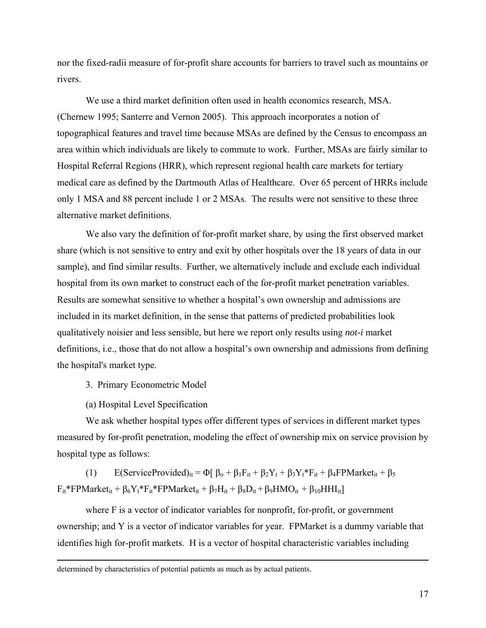nor the fixed-radii measure of for-profit share accounts for barriers to travel such as mountains or rivers.

We use a third market definition often used in health economics research, MSA. (Chernew 1995; Santerre and Vernon 2005). This approach incorporates a notion of topographical features and travel time because MSAs are defined by the Census to encompass an area within which individuals are likely to commute to work. Further, MSAs are fairly similar to Hospital Referral Regions (HRR), which represent regional health care markets for tertiary medical care as defined by the Dartmouth Atlas of Healthcare. Over 65 percent of HRRs include only 1 MSA and 88 percent include 1 or 2 MSAs. The results were not sensitive to these three alternative market definitions.

We also vary the definition of for-profit market share, by using the first observed market share (which is not sensitive to entry and exit by other hospitals over the 18 years of data in our sample), and find similar results. Further, we alternatively include and exclude each individual hospital from its own market to construct each of the for-profit market penetration variables. Results are somewhat sensitive to whether a hospital's own ownership and admissions are included in its market definition, in the sense that patterns of predicted probabilities look qualitatively noisier and less sensible, but here we report only results using *not-i* market definitions, i.e., those that do not allow a hospital's own ownership and admissions from defining the hospital's market type.

3. Primary Econometric Model

(a) Hospital Level Specification

We ask whether hospital types offer different types of services in different market types measured by for-profit penetration, modeling the effect of ownership mix on service provision by hospital type as follows:

(1) E(ServiceProvided)<sub>it</sub> =  $\Phi$ [  $\beta_0 + \beta_1 F_{it} + \beta_2 Y_t + \beta_3 Y_t * F_{it} + \beta_4 FP Market_{it} + \beta_5$  $F_{it}$ \*FPMarket<sub>it</sub> +  $\beta_6 Y_t$ \* $F_{it}$ \*FPMarket<sub>it</sub> +  $\beta_7 H_{it}$  +  $\beta_8 D_{it}$  +  $\beta_9 HMO_{it}$  +  $\beta_{10} HHI_{it}$ ]

where F is a vector of indicator variables for nonprofit, for-profit, or government ownership; and Y is a vector of indicator variables for year. FPMarket is a dummy variable that identifies high for-profit markets. H is a vector of hospital characteristic variables including

determined by characteristics of potential patients as much as by actual patients.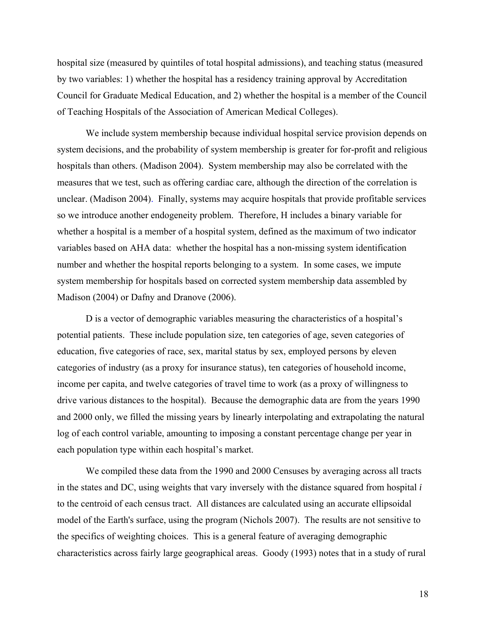hospital size (measured by quintiles of total hospital admissions), and teaching status (measured by two variables: 1) whether the hospital has a residency training approval by Accreditation Council for Graduate Medical Education, and 2) whether the hospital is a member of the Council of Teaching Hospitals of the Association of American Medical Colleges).

We include system membership because individual hospital service provision depends on system decisions, and the probability of system membership is greater for for-profit and religious hospitals than others. (Madison 2004). System membership may also be correlated with the measures that we test, such as offering cardiac care, although the direction of the correlation is unclear. (Madison 2004). Finally, systems may acquire hospitals that provide profitable services so we introduce another endogeneity problem. Therefore, H includes a binary variable for whether a hospital is a member of a hospital system, defined as the maximum of two indicator variables based on AHA data: whether the hospital has a non-missing system identification number and whether the hospital reports belonging to a system. In some cases, we impute system membership for hospitals based on corrected system membership data assembled by Madison (2004) or Dafny and Dranove (2006).

D is a vector of demographic variables measuring the characteristics of a hospital's potential patients. These include population size, ten categories of age, seven categories of education, five categories of race, sex, marital status by sex, employed persons by eleven categories of industry (as a proxy for insurance status), ten categories of household income, income per capita, and twelve categories of travel time to work (as a proxy of willingness to drive various distances to the hospital). Because the demographic data are from the years 1990 and 2000 only, we filled the missing years by linearly interpolating and extrapolating the natural log of each control variable, amounting to imposing a constant percentage change per year in each population type within each hospital's market.

We compiled these data from the 1990 and 2000 Censuses by averaging across all tracts in the states and DC, using weights that vary inversely with the distance squared from hospital *i* to the centroid of each census tract. All distances are calculated using an accurate ellipsoidal model of the Earth's surface, using the program (Nichols 2007). The results are not sensitive to the specifics of weighting choices. This is a general feature of averaging demographic characteristics across fairly large geographical areas. Goody (1993) notes that in a study of rural

18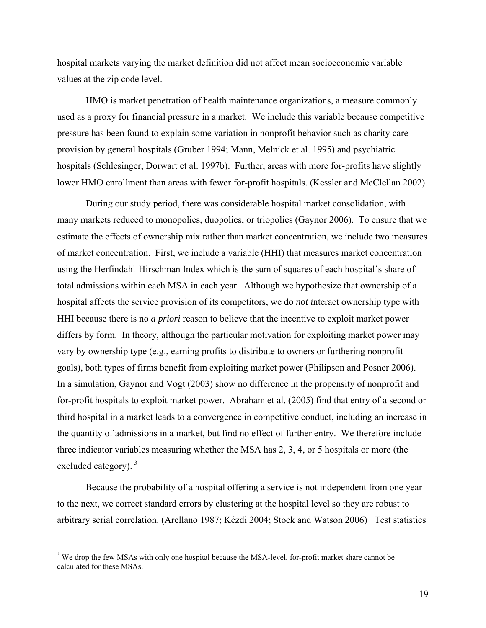hospital markets varying the market definition did not affect mean socioeconomic variable values at the zip code level.

HMO is market penetration of health maintenance organizations, a measure commonly used as a proxy for financial pressure in a market. We include this variable because competitive pressure has been found to explain some variation in nonprofit behavior such as charity care provision by general hospitals (Gruber 1994; Mann, Melnick et al. 1995) and psychiatric hospitals (Schlesinger, Dorwart et al. 1997b). Further, areas with more for-profits have slightly lower HMO enrollment than areas with fewer for-profit hospitals. (Kessler and McClellan 2002)

During our study period, there was considerable hospital market consolidation, with many markets reduced to monopolies, duopolies, or triopolies (Gaynor 2006). To ensure that we estimate the effects of ownership mix rather than market concentration, we include two measures of market concentration. First, we include a variable (HHI) that measures market concentration using the Herfindahl-Hirschman Index which is the sum of squares of each hospital's share of total admissions within each MSA in each year. Although we hypothesize that ownership of a hospital affects the service provision of its competitors, we do *not i*nteract ownership type with HHI because there is no *a priori* reason to believe that the incentive to exploit market power differs by form. In theory, although the particular motivation for exploiting market power may vary by ownership type (e.g., earning profits to distribute to owners or furthering nonprofit goals), both types of firms benefit from exploiting market power (Philipson and Posner 2006). In a simulation, Gaynor and Vogt (2003) show no difference in the propensity of nonprofit and for-profit hospitals to exploit market power. Abraham et al. (2005) find that entry of a second or third hospital in a market leads to a convergence in competitive conduct, including an increase in the quantity of admissions in a market, but find no effect of further entry. We therefore include three indicator variables measuring whether the MSA has 2, 3, 4, or 5 hospitals or more (the excluded category).  $3$ 

Because the probability of a hospital offering a service is not independent from one year to the next, we correct standard errors by clustering at the hospital level so they are robust to arbitrary serial correlation. (Arellano 1987; Kézdi 2004; Stock and Watson 2006) Test statistics

<span id="page-20-0"></span><sup>&</sup>lt;sup>3</sup> We drop the few MSAs with only one hospital because the MSA-level, for-profit market share cannot be calculated for these MSAs.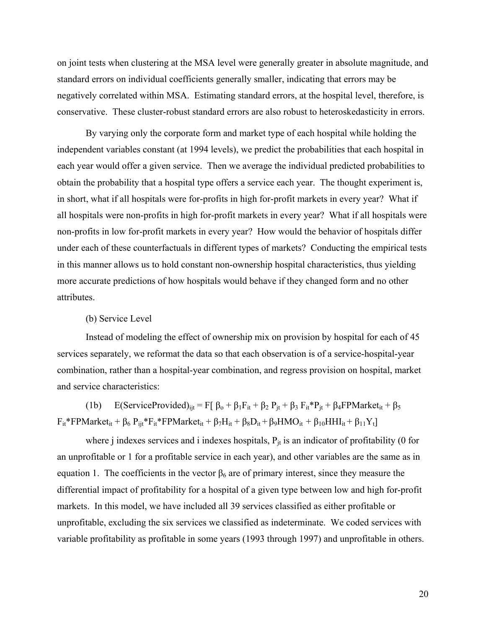on joint tests when clustering at the MSA level were generally greater in absolute magnitude, and standard errors on individual coefficients generally smaller, indicating that errors may be negatively correlated within MSA. Estimating standard errors, at the hospital level, therefore, is conservative. These cluster-robust standard errors are also robust to heteroskedasticity in errors.

By varying only the corporate form and market type of each hospital while holding the independent variables constant (at 1994 levels), we predict the probabilities that each hospital in each year would offer a given service. Then we average the individual predicted probabilities to obtain the probability that a hospital type offers a service each year. The thought experiment is, in short, what if all hospitals were for-profits in high for-profit markets in every year? What if all hospitals were non-profits in high for-profit markets in every year? What if all hospitals were non-profits in low for-profit markets in every year? How would the behavior of hospitals differ under each of these counterfactuals in different types of markets? Conducting the empirical tests in this manner allows us to hold constant non-ownership hospital characteristics, thus yielding more accurate predictions of how hospitals would behave if they changed form and no other attributes.

### (b) Service Level

Instead of modeling the effect of ownership mix on provision by hospital for each of 45 services separately, we reformat the data so that each observation is of a service-hospital-year combination, rather than a hospital-year combination, and regress provision on hospital, market and service characteristics:

(1b) E(ServiceProvided)<sub>ijt</sub> = F[  $\beta_0 + \beta_1 F_{it} + \beta_2 P_{it} + \beta_3 F_{it} P_{it} + \beta_4 FP Market_{it} + \beta_5$  $F_{it}$ \*FPMarket<sub>it</sub> + β<sub>6</sub> P<sub>ijt</sub>\*F<sub>it</sub>\*FPMarket<sub>it</sub> + β<sub>7</sub>H<sub>it</sub> + β<sub>8</sub>D<sub>it</sub> + β<sub>9</sub>HMO<sub>it</sub> + β<sub>10</sub>HHI<sub>it</sub> + β<sub>11</sub>Y<sub>t</sub>]

where j indexes services and i indexes hospitals,  $P_{it}$  is an indicator of profitability (0 for an unprofitable or 1 for a profitable service in each year), and other variables are the same as in equation 1. The coefficients in the vector  $\beta_6$  are of primary interest, since they measure the differential impact of profitability for a hospital of a given type between low and high for-profit markets. In this model, we have included all 39 services classified as either profitable or unprofitable, excluding the six services we classified as indeterminate. We coded services with variable profitability as profitable in some years (1993 through 1997) and unprofitable in others.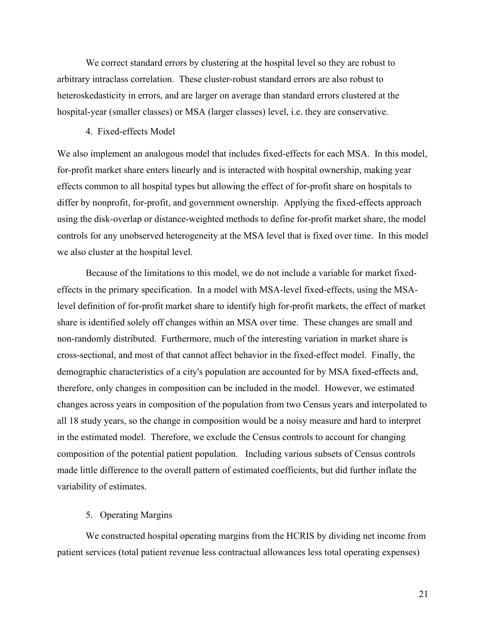We correct standard errors by clustering at the hospital level so they are robust to arbitrary intraclass correlation. These cluster-robust standard errors are also robust to heteroskedasticity in errors, and are larger on average than standard errors clustered at the hospital-year (smaller classes) or MSA (larger classes) level, i.e. they are conservative.

## 4. Fixed-effects Model

We also implement an analogous model that includes fixed-effects for each MSA. In this model, for-profit market share enters linearly and is interacted with hospital ownership, making year effects common to all hospital types but allowing the effect of for-profit share on hospitals to differ by nonprofit, for-profit, and government ownership. Applying the fixed-effects approach using the disk-overlap or distance-weighted methods to define for-profit market share, the model controls for any unobserved heterogeneity at the MSA level that is fixed over time. In this model we also cluster at the hospital level.

Because of the limitations to this model, we do not include a variable for market fixedeffects in the primary specification. In a model with MSA-level fixed-effects, using the MSAlevel definition of for-profit market share to identify high for-profit markets, the effect of market share is identified solely off changes within an MSA over time. These changes are small and non-randomly distributed. Furthermore, much of the interesting variation in market share is cross-sectional, and most of that cannot affect behavior in the fixed-effect model. Finally, the demographic characteristics of a city's population are accounted for by MSA fixed-effects and, therefore, only changes in composition can be included in the model. However, we estimated changes across years in composition of the population from two Census years and interpolated to all 18 study years, so the change in composition would be a noisy measure and hard to interpret in the estimated model. Therefore, we exclude the Census controls to account for changing composition of the potential patient population. Including various subsets of Census controls made little difference to the overall pattern of estimated coefficients, but did further inflate the variability of estimates.

### 5. Operating Margins

We constructed hospital operating margins from the HCRIS by dividing net income from patient services (total patient revenue less contractual allowances less total operating expenses)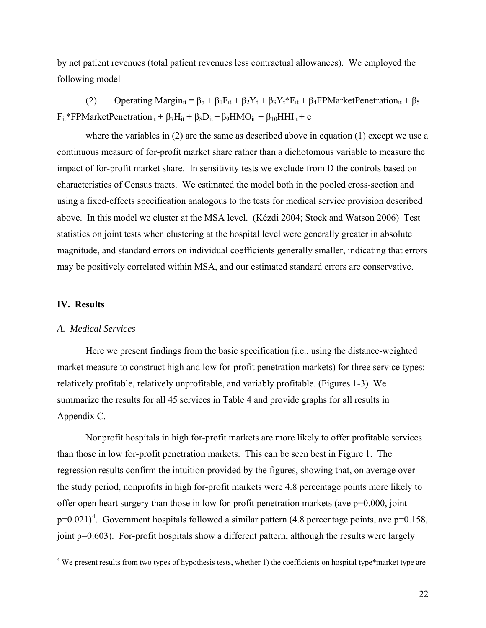by net patient revenues (total patient revenues less contractual allowances). We employed the following model

(2) Operating Margin<sub>it</sub> =  $\beta_0 + \beta_1 F_{it} + \beta_2 Y_t + \beta_3 Y_t^* F_{it} + \beta_4$  FPMarket Penetration<sub>it</sub> +  $\beta_5$  $F_{it}$ \*FPMarketPenetration<sub>it</sub> + β<sub>7</sub>H<sub>it</sub> + β<sub>8</sub>D<sub>it</sub> + β<sub>9</sub>HMO<sub>it</sub> + β<sub>10</sub>HHI<sub>it</sub> + e

where the variables in (2) are the same as described above in equation (1) except we use a continuous measure of for-profit market share rather than a dichotomous variable to measure the impact of for-profit market share. In sensitivity tests we exclude from D the controls based on characteristics of Census tracts. We estimated the model both in the pooled cross-section and using a fixed-effects specification analogous to the tests for medical service provision described above. In this model we cluster at the MSA level. (Kézdi 2004; Stock and Watson 2006) Test statistics on joint tests when clustering at the hospital level were generally greater in absolute magnitude, and standard errors on individual coefficients generally smaller, indicating that errors may be positively correlated within MSA, and our estimated standard errors are conservative.

### **IV. Results**

1

#### *A. Medical Services*

Here we present findings from the basic specification (i.e., using the distance-weighted market measure to construct high and low for-profit penetration markets) for three service types: relatively profitable, relatively unprofitable, and variably profitable. (Figures 1-3) We summarize the results for all 45 services in Table 4 and provide graphs for all results in Appendix C.

Nonprofit hospitals in high for-profit markets are more likely to offer profitable services than those in low for-profit penetration markets. This can be seen best in Figure 1. The regression results confirm the intuition provided by the figures, showing that, on average over the study period, nonprofits in high for-profit markets were 4.8 percentage points more likely to offer open heart surgery than those in low for-profit penetration markets (ave p=0.000, joint  $p=0.021$ <sup>[4](#page-23-0)</sup>. Government hospitals followed a similar pattern (4.8 percentage points, ave  $p=0.158$ , joint p=0.603). For-profit hospitals show a different pattern, although the results were largely

<span id="page-23-0"></span> $4$  We present results from two types of hypothesis tests, whether 1) the coefficients on hospital type\*market type are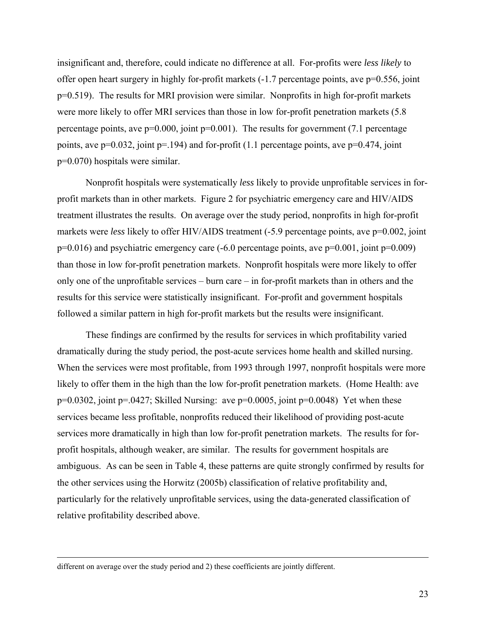insignificant and, therefore, could indicate no difference at all. For-profits were *less likely* to offer open heart surgery in highly for-profit markets (-1.7 percentage points, ave p=0.556, joint p=0.519). The results for MRI provision were similar. Nonprofits in high for-profit markets were more likely to offer MRI services than those in low for-profit penetration markets (5.8 percentage points, ave  $p=0.000$ , joint  $p=0.001$ ). The results for government (7.1 percentage points, ave  $p=0.032$ , joint  $p=194$ ) and for-profit (1.1 percentage points, ave  $p=0.474$ , joint p=0.070) hospitals were similar.

Nonprofit hospitals were systematically *less* likely to provide unprofitable services in forprofit markets than in other markets. Figure 2 for psychiatric emergency care and HIV/AIDS treatment illustrates the results. On average over the study period, nonprofits in high for-profit markets were *less* likely to offer HIV/AIDS treatment (-5.9 percentage points, ave p=0.002, joint  $p=0.016$ ) and psychiatric emergency care  $(-6.0$  percentage points, ave  $p=0.001$ , joint  $p=0.009$ ) than those in low for-profit penetration markets. Nonprofit hospitals were more likely to offer only one of the unprofitable services – burn care – in for-profit markets than in others and the results for this service were statistically insignificant. For-profit and government hospitals followed a similar pattern in high for-profit markets but the results were insignificant.

These findings are confirmed by the results for services in which profitability varied dramatically during the study period, the post-acute services home health and skilled nursing. When the services were most profitable, from 1993 through 1997, nonprofit hospitals were more likely to offer them in the high than the low for-profit penetration markets. (Home Health: ave  $p=0.0302$ , joint  $p=.0427$ ; Skilled Nursing: ave  $p=0.0005$ , joint  $p=0.0048$ ) Yet when these services became less profitable, nonprofits reduced their likelihood of providing post-acute services more dramatically in high than low for-profit penetration markets. The results for forprofit hospitals, although weaker, are similar. The results for government hospitals are ambiguous. As can be seen in Table 4, these patterns are quite strongly confirmed by results for the other services using the Horwitz (2005b) classification of relative profitability and, particularly for the relatively unprofitable services, using the data-generated classification of relative profitability described above.

different on average over the study period and 2) these coefficients are jointly different.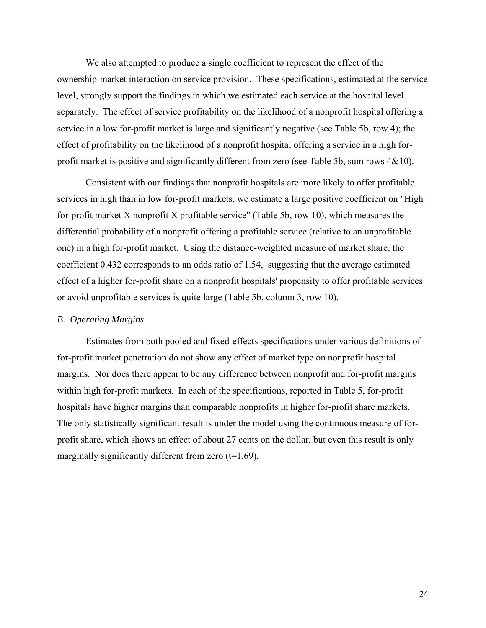We also attempted to produce a single coefficient to represent the effect of the ownership-market interaction on service provision. These specifications, estimated at the service level, strongly support the findings in which we estimated each service at the hospital level separately. The effect of service profitability on the likelihood of a nonprofit hospital offering a service in a low for-profit market is large and significantly negative (see Table 5b, row 4); the effect of profitability on the likelihood of a nonprofit hospital offering a service in a high forprofit market is positive and significantly different from zero (see Table 5b, sum rows 4&10).

Consistent with our findings that nonprofit hospitals are more likely to offer profitable services in high than in low for-profit markets, we estimate a large positive coefficient on "High for-profit market X nonprofit X profitable service" (Table 5b, row 10), which measures the differential probability of a nonprofit offering a profitable service (relative to an unprofitable one) in a high for-profit market. Using the distance-weighted measure of market share, the coefficient 0.432 corresponds to an odds ratio of 1.54, suggesting that the average estimated effect of a higher for-profit share on a nonprofit hospitals' propensity to offer profitable services or avoid unprofitable services is quite large (Table 5b, column 3, row 10).

### *B. Operating Margins*

Estimates from both pooled and fixed-effects specifications under various definitions of for-profit market penetration do not show any effect of market type on nonprofit hospital margins. Nor does there appear to be any difference between nonprofit and for-profit margins within high for-profit markets. In each of the specifications, reported in Table 5, for-profit hospitals have higher margins than comparable nonprofits in higher for-profit share markets. The only statistically significant result is under the model using the continuous measure of forprofit share, which shows an effect of about 27 cents on the dollar, but even this result is only marginally significantly different from zero  $(t=1.69)$ .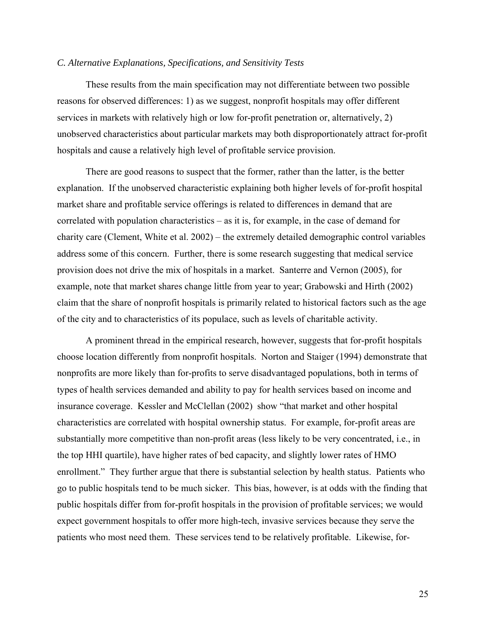### *C. Alternative Explanations, Specifications, and Sensitivity Tests*

These results from the main specification may not differentiate between two possible reasons for observed differences: 1) as we suggest, nonprofit hospitals may offer different services in markets with relatively high or low for-profit penetration or, alternatively, 2) unobserved characteristics about particular markets may both disproportionately attract for-profit hospitals and cause a relatively high level of profitable service provision.

There are good reasons to suspect that the former, rather than the latter, is the better explanation. If the unobserved characteristic explaining both higher levels of for-profit hospital market share and profitable service offerings is related to differences in demand that are correlated with population characteristics – as it is, for example, in the case of demand for charity care (Clement, White et al. 2002) – the extremely detailed demographic control variables address some of this concern. Further, there is some research suggesting that medical service provision does not drive the mix of hospitals in a market. Santerre and Vernon (2005), for example, note that market shares change little from year to year; Grabowski and Hirth (2002) claim that the share of nonprofit hospitals is primarily related to historical factors such as the age of the city and to characteristics of its populace, such as levels of charitable activity.

A prominent thread in the empirical research, however, suggests that for-profit hospitals choose location differently from nonprofit hospitals. Norton and Staiger (1994) demonstrate that nonprofits are more likely than for-profits to serve disadvantaged populations, both in terms of types of health services demanded and ability to pay for health services based on income and insurance coverage. Kessler and McClellan (2002) show "that market and other hospital characteristics are correlated with hospital ownership status. For example, for-profit areas are substantially more competitive than non-profit areas (less likely to be very concentrated, i.e., in the top HHI quartile), have higher rates of bed capacity, and slightly lower rates of HMO enrollment." They further argue that there is substantial selection by health status. Patients who go to public hospitals tend to be much sicker. This bias, however, is at odds with the finding that public hospitals differ from for-profit hospitals in the provision of profitable services; we would expect government hospitals to offer more high-tech, invasive services because they serve the patients who most need them. These services tend to be relatively profitable. Likewise, for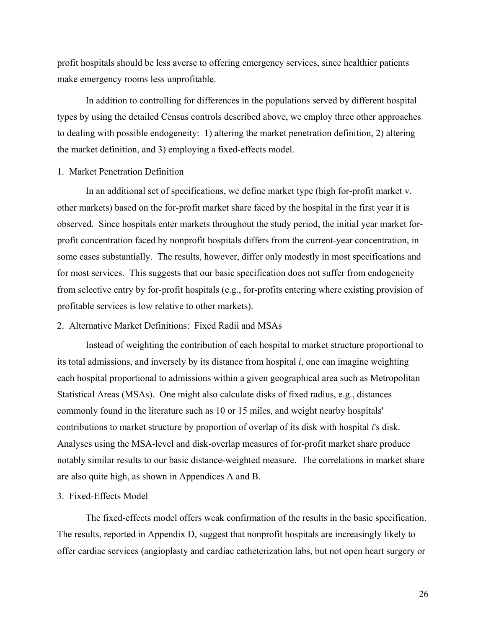profit hospitals should be less averse to offering emergency services, since healthier patients make emergency rooms less unprofitable.

In addition to controlling for differences in the populations served by different hospital types by using the detailed Census controls described above, we employ three other approaches to dealing with possible endogeneity: 1) altering the market penetration definition, 2) altering the market definition, and 3) employing a fixed-effects model.

## 1. Market Penetration Definition

 In an additional set of specifications, we define market type (high for-profit market v. other markets) based on the for-profit market share faced by the hospital in the first year it is observed. Since hospitals enter markets throughout the study period, the initial year market forprofit concentration faced by nonprofit hospitals differs from the current-year concentration, in some cases substantially. The results, however, differ only modestly in most specifications and for most services. This suggests that our basic specification does not suffer from endogeneity from selective entry by for-profit hospitals (e.g., for-profits entering where existing provision of profitable services is low relative to other markets).

# 2. Alternative Market Definitions: Fixed Radii and MSAs

 Instead of weighting the contribution of each hospital to market structure proportional to its total admissions, and inversely by its distance from hospital *i*, one can imagine weighting each hospital proportional to admissions within a given geographical area such as Metropolitan Statistical Areas (MSAs). One might also calculate disks of fixed radius, e.g., distances commonly found in the literature such as 10 or 15 miles, and weight nearby hospitals' contributions to market structure by proportion of overlap of its disk with hospital *i*'s disk. Analyses using the MSA-level and disk-overlap measures of for-profit market share produce notably similar results to our basic distance-weighted measure. The correlations in market share are also quite high, as shown in Appendices A and B.

#### 3. Fixed-Effects Model

The fixed-effects model offers weak confirmation of the results in the basic specification. The results, reported in Appendix D, suggest that nonprofit hospitals are increasingly likely to offer cardiac services (angioplasty and cardiac catheterization labs, but not open heart surgery or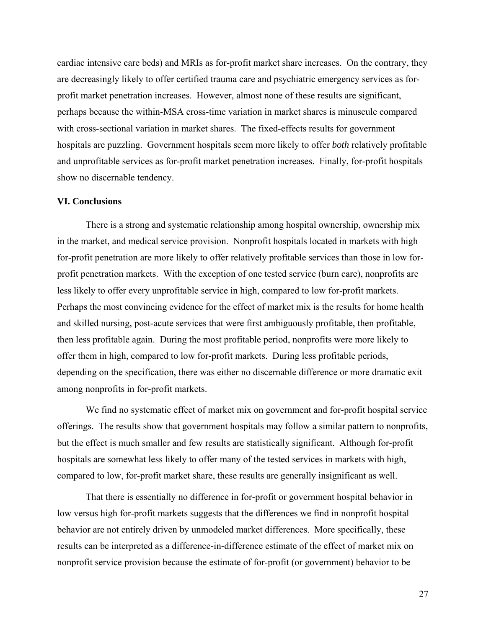cardiac intensive care beds) and MRIs as for-profit market share increases. On the contrary, they are decreasingly likely to offer certified trauma care and psychiatric emergency services as forprofit market penetration increases. However, almost none of these results are significant, perhaps because the within-MSA cross-time variation in market shares is minuscule compared with cross-sectional variation in market shares. The fixed-effects results for government hospitals are puzzling. Government hospitals seem more likely to offer *both* relatively profitable and unprofitable services as for-profit market penetration increases. Finally, for-profit hospitals show no discernable tendency.

#### **VI. Conclusions**

There is a strong and systematic relationship among hospital ownership, ownership mix in the market, and medical service provision. Nonprofit hospitals located in markets with high for-profit penetration are more likely to offer relatively profitable services than those in low forprofit penetration markets. With the exception of one tested service (burn care), nonprofits are less likely to offer every unprofitable service in high, compared to low for-profit markets. Perhaps the most convincing evidence for the effect of market mix is the results for home health and skilled nursing, post-acute services that were first ambiguously profitable, then profitable, then less profitable again. During the most profitable period, nonprofits were more likely to offer them in high, compared to low for-profit markets. During less profitable periods, depending on the specification, there was either no discernable difference or more dramatic exit among nonprofits in for-profit markets.

We find no systematic effect of market mix on government and for-profit hospital service offerings. The results show that government hospitals may follow a similar pattern to nonprofits, but the effect is much smaller and few results are statistically significant. Although for-profit hospitals are somewhat less likely to offer many of the tested services in markets with high, compared to low, for-profit market share, these results are generally insignificant as well.

That there is essentially no difference in for-profit or government hospital behavior in low versus high for-profit markets suggests that the differences we find in nonprofit hospital behavior are not entirely driven by unmodeled market differences. More specifically, these results can be interpreted as a difference-in-difference estimate of the effect of market mix on nonprofit service provision because the estimate of for-profit (or government) behavior to be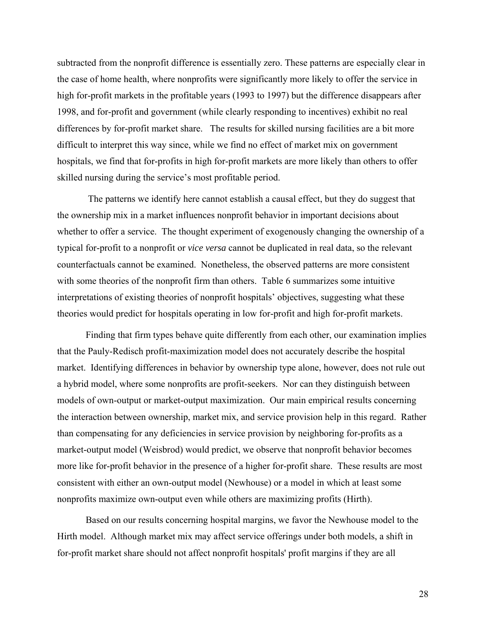subtracted from the nonprofit difference is essentially zero. These patterns are especially clear in the case of home health, where nonprofits were significantly more likely to offer the service in high for-profit markets in the profitable years (1993 to 1997) but the difference disappears after 1998, and for-profit and government (while clearly responding to incentives) exhibit no real differences by for-profit market share. The results for skilled nursing facilities are a bit more difficult to interpret this way since, while we find no effect of market mix on government hospitals, we find that for-profits in high for-profit markets are more likely than others to offer skilled nursing during the service's most profitable period.

 The patterns we identify here cannot establish a causal effect, but they do suggest that the ownership mix in a market influences nonprofit behavior in important decisions about whether to offer a service. The thought experiment of exogenously changing the ownership of a typical for-profit to a nonprofit or *vice versa* cannot be duplicated in real data, so the relevant counterfactuals cannot be examined. Nonetheless, the observed patterns are more consistent with some theories of the nonprofit firm than others. Table 6 summarizes some intuitive interpretations of existing theories of nonprofit hospitals' objectives, suggesting what these theories would predict for hospitals operating in low for-profit and high for-profit markets.

Finding that firm types behave quite differently from each other, our examination implies that the Pauly-Redisch profit-maximization model does not accurately describe the hospital market. Identifying differences in behavior by ownership type alone, however, does not rule out a hybrid model, where some nonprofits are profit-seekers. Nor can they distinguish between models of own-output or market-output maximization. Our main empirical results concerning the interaction between ownership, market mix, and service provision help in this regard. Rather than compensating for any deficiencies in service provision by neighboring for-profits as a market-output model (Weisbrod) would predict, we observe that nonprofit behavior becomes more like for-profit behavior in the presence of a higher for-profit share. These results are most consistent with either an own-output model (Newhouse) or a model in which at least some nonprofits maximize own-output even while others are maximizing profits (Hirth).

Based on our results concerning hospital margins, we favor the Newhouse model to the Hirth model. Although market mix may affect service offerings under both models, a shift in for-profit market share should not affect nonprofit hospitals' profit margins if they are all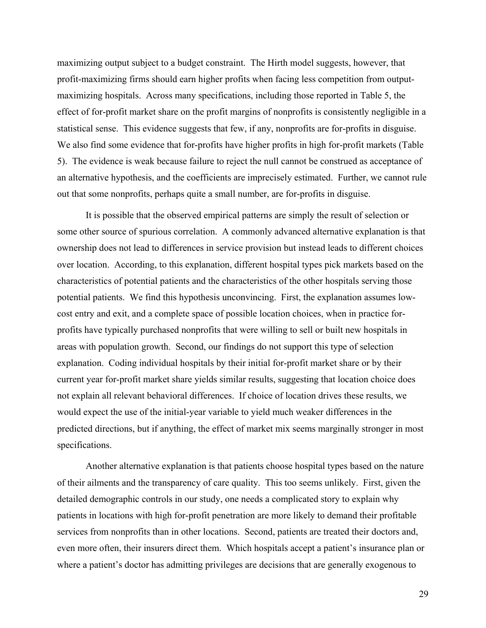maximizing output subject to a budget constraint. The Hirth model suggests, however, that profit-maximizing firms should earn higher profits when facing less competition from outputmaximizing hospitals. Across many specifications, including those reported in Table 5, the effect of for-profit market share on the profit margins of nonprofits is consistently negligible in a statistical sense. This evidence suggests that few, if any, nonprofits are for-profits in disguise. We also find some evidence that for-profits have higher profits in high for-profit markets (Table 5). The evidence is weak because failure to reject the null cannot be construed as acceptance of an alternative hypothesis, and the coefficients are imprecisely estimated. Further, we cannot rule out that some nonprofits, perhaps quite a small number, are for-profits in disguise.

It is possible that the observed empirical patterns are simply the result of selection or some other source of spurious correlation. A commonly advanced alternative explanation is that ownership does not lead to differences in service provision but instead leads to different choices over location. According, to this explanation, different hospital types pick markets based on the characteristics of potential patients and the characteristics of the other hospitals serving those potential patients. We find this hypothesis unconvincing. First, the explanation assumes lowcost entry and exit, and a complete space of possible location choices, when in practice forprofits have typically purchased nonprofits that were willing to sell or built new hospitals in areas with population growth. Second, our findings do not support this type of selection explanation. Coding individual hospitals by their initial for-profit market share or by their current year for-profit market share yields similar results, suggesting that location choice does not explain all relevant behavioral differences. If choice of location drives these results, we would expect the use of the initial-year variable to yield much weaker differences in the predicted directions, but if anything, the effect of market mix seems marginally stronger in most specifications.

Another alternative explanation is that patients choose hospital types based on the nature of their ailments and the transparency of care quality. This too seems unlikely. First, given the detailed demographic controls in our study, one needs a complicated story to explain why patients in locations with high for-profit penetration are more likely to demand their profitable services from nonprofits than in other locations. Second, patients are treated their doctors and, even more often, their insurers direct them. Which hospitals accept a patient's insurance plan or where a patient's doctor has admitting privileges are decisions that are generally exogenous to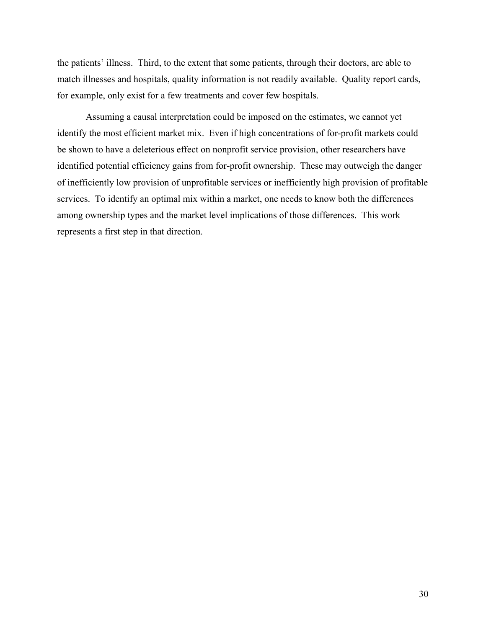the patients' illness. Third, to the extent that some patients, through their doctors, are able to match illnesses and hospitals, quality information is not readily available. Quality report cards, for example, only exist for a few treatments and cover few hospitals.

Assuming a causal interpretation could be imposed on the estimates, we cannot yet identify the most efficient market mix. Even if high concentrations of for-profit markets could be shown to have a deleterious effect on nonprofit service provision, other researchers have identified potential efficiency gains from for-profit ownership. These may outweigh the danger of inefficiently low provision of unprofitable services or inefficiently high provision of profitable services. To identify an optimal mix within a market, one needs to know both the differences among ownership types and the market level implications of those differences. This work represents a first step in that direction.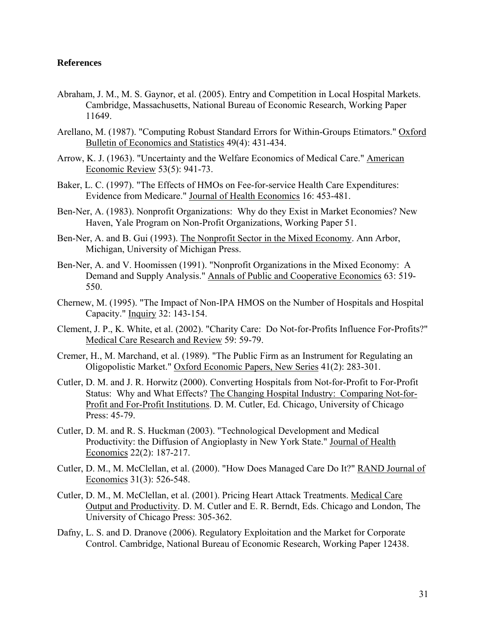## **References**

- Abraham, J. M., M. S. Gaynor, et al. (2005). Entry and Competition in Local Hospital Markets. Cambridge, Massachusetts, National Bureau of Economic Research, Working Paper 11649.
- Arellano, M. (1987). "Computing Robust Standard Errors for Within-Groups Etimators." Oxford Bulletin of Economics and Statistics 49(4): 431-434.
- Arrow, K. J. (1963). "Uncertainty and the Welfare Economics of Medical Care." American Economic Review 53(5): 941-73.
- Baker, L. C. (1997). "The Effects of HMOs on Fee-for-service Health Care Expenditures: Evidence from Medicare." Journal of Health Economics 16: 453-481.
- Ben-Ner, A. (1983). Nonprofit Organizations: Why do they Exist in Market Economies? New Haven, Yale Program on Non-Profit Organizations, Working Paper 51.
- Ben-Ner, A. and B. Gui (1993). The Nonprofit Sector in the Mixed Economy. Ann Arbor, Michigan, University of Michigan Press.
- Ben-Ner, A. and V. Hoomissen (1991). "Nonprofit Organizations in the Mixed Economy: A Demand and Supply Analysis." Annals of Public and Cooperative Economics 63: 519- 550.
- Chernew, M. (1995). "The Impact of Non-IPA HMOS on the Number of Hospitals and Hospital Capacity." Inquiry 32: 143-154.
- Clement, J. P., K. White, et al. (2002). "Charity Care: Do Not-for-Profits Influence For-Profits?" Medical Care Research and Review 59: 59-79.
- Cremer, H., M. Marchand, et al. (1989). "The Public Firm as an Instrument for Regulating an Oligopolistic Market." Oxford Economic Papers, New Series 41(2): 283-301.
- Cutler, D. M. and J. R. Horwitz (2000). Converting Hospitals from Not-for-Profit to For-Profit Status: Why and What Effects? The Changing Hospital Industry: Comparing Not-for-Profit and For-Profit Institutions. D. M. Cutler, Ed. Chicago, University of Chicago Press: 45-79.
- Cutler, D. M. and R. S. Huckman (2003). "Technological Development and Medical Productivity: the Diffusion of Angioplasty in New York State." Journal of Health Economics 22(2): 187-217.
- Cutler, D. M., M. McClellan, et al. (2000). "How Does Managed Care Do It?" RAND Journal of Economics 31(3): 526-548.
- Cutler, D. M., M. McClellan, et al. (2001). Pricing Heart Attack Treatments. Medical Care Output and Productivity. D. M. Cutler and E. R. Berndt, Eds. Chicago and London, The University of Chicago Press: 305-362.
- Dafny, L. S. and D. Dranove (2006). Regulatory Exploitation and the Market for Corporate Control. Cambridge, National Bureau of Economic Research, Working Paper 12438.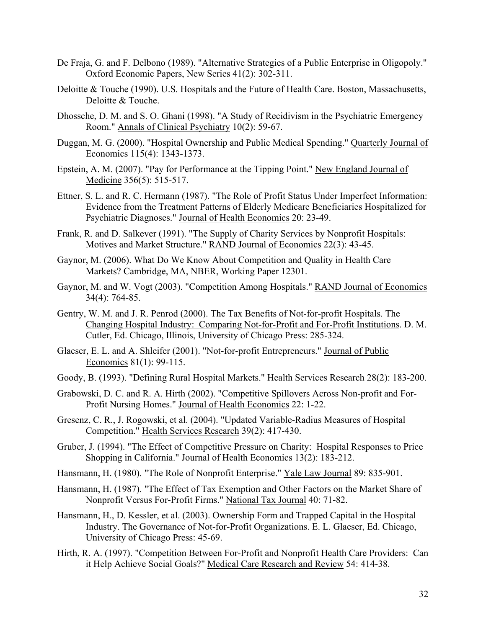- De Fraja, G. and F. Delbono (1989). "Alternative Strategies of a Public Enterprise in Oligopoly." Oxford Economic Papers, New Series 41(2): 302-311.
- Deloitte & Touche (1990). U.S. Hospitals and the Future of Health Care. Boston, Massachusetts, Deloitte & Touche.
- Dhossche, D. M. and S. O. Ghani (1998). "A Study of Recidivism in the Psychiatric Emergency Room." Annals of Clinical Psychiatry 10(2): 59-67.
- Duggan, M. G. (2000). "Hospital Ownership and Public Medical Spending." Quarterly Journal of Economics 115(4): 1343-1373.
- Epstein, A. M. (2007). "Pay for Performance at the Tipping Point." New England Journal of Medicine 356(5): 515-517.
- Ettner, S. L. and R. C. Hermann (1987). "The Role of Profit Status Under Imperfect Information: Evidence from the Treatment Patterns of Elderly Medicare Beneficiaries Hospitalized for Psychiatric Diagnoses." Journal of Health Economics 20: 23-49.
- Frank, R. and D. Salkever (1991). "The Supply of Charity Services by Nonprofit Hospitals: Motives and Market Structure." RAND Journal of Economics 22(3): 43-45.
- Gaynor, M. (2006). What Do We Know About Competition and Quality in Health Care Markets? Cambridge, MA, NBER, Working Paper 12301.
- Gaynor, M. and W. Vogt (2003). "Competition Among Hospitals." RAND Journal of Economics 34(4): 764-85.
- Gentry, W. M. and J. R. Penrod (2000). The Tax Benefits of Not-for-profit Hospitals. The Changing Hospital Industry: Comparing Not-for-Profit and For-Profit Institutions. D. M. Cutler, Ed. Chicago, Illinois, University of Chicago Press: 285-324.
- Glaeser, E. L. and A. Shleifer (2001). "Not-for-profit Entrepreneurs." Journal of Public Economics 81(1): 99-115.
- Goody, B. (1993). "Defining Rural Hospital Markets." Health Services Research 28(2): 183-200.
- Grabowski, D. C. and R. A. Hirth (2002). "Competitive Spillovers Across Non-profit and For-Profit Nursing Homes." Journal of Health Economics 22: 1-22.
- Gresenz, C. R., J. Rogowski, et al. (2004). "Updated Variable-Radius Measures of Hospital Competition." Health Services Research 39(2): 417-430.
- Gruber, J. (1994). "The Effect of Competitive Pressure on Charity: Hospital Responses to Price Shopping in California." Journal of Health Economics 13(2): 183-212.
- Hansmann, H. (1980). "The Role of Nonprofit Enterprise." Yale Law Journal 89: 835-901.
- Hansmann, H. (1987). "The Effect of Tax Exemption and Other Factors on the Market Share of Nonprofit Versus For-Profit Firms." National Tax Journal 40: 71-82.
- Hansmann, H., D. Kessler, et al. (2003). Ownership Form and Trapped Capital in the Hospital Industry. The Governance of Not-for-Profit Organizations. E. L. Glaeser, Ed. Chicago, University of Chicago Press: 45-69.
- Hirth, R. A. (1997). "Competition Between For-Profit and Nonprofit Health Care Providers: Can it Help Achieve Social Goals?" Medical Care Research and Review 54: 414-38.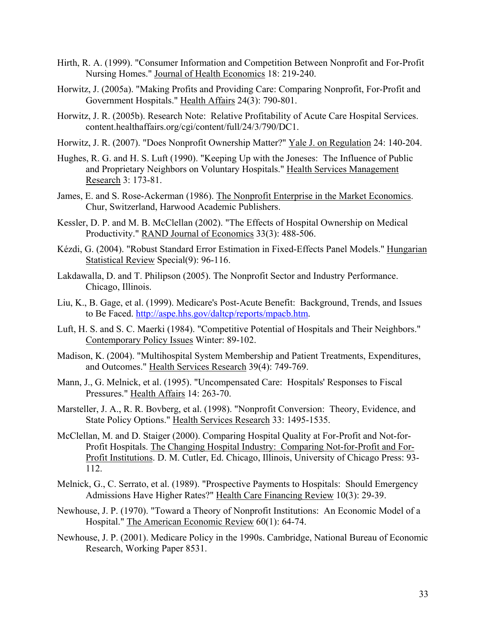- Hirth, R. A. (1999). "Consumer Information and Competition Between Nonprofit and For-Profit Nursing Homes." Journal of Health Economics 18: 219-240.
- Horwitz, J. (2005a). "Making Profits and Providing Care: Comparing Nonprofit, For-Profit and Government Hospitals." Health Affairs 24(3): 790-801.
- Horwitz, J. R. (2005b). Research Note: Relative Profitability of Acute Care Hospital Services. content.healthaffairs.org/cgi/content/full/24/3/790/DC1.
- Horwitz, J. R. (2007). "Does Nonprofit Ownership Matter?" Yale J. on Regulation 24: 140-204.
- Hughes, R. G. and H. S. Luft (1990). "Keeping Up with the Joneses: The Influence of Public and Proprietary Neighbors on Voluntary Hospitals." Health Services Management Research 3: 173-81.
- James, E. and S. Rose-Ackerman (1986). The Nonprofit Enterprise in the Market Economics. Chur, Switzerland, Harwood Academic Publishers.
- Kessler, D. P. and M. B. McClellan (2002). "The Effects of Hospital Ownership on Medical Productivity." RAND Journal of Economics 33(3): 488-506.
- Kézdi, G. (2004). "Robust Standard Error Estimation in Fixed-Effects Panel Models." Hungarian Statistical Review Special(9): 96-116.
- Lakdawalla, D. and T. Philipson (2005). The Nonprofit Sector and Industry Performance. Chicago, Illinois.
- Liu, K., B. Gage, et al. (1999). Medicare's Post-Acute Benefit: Background, Trends, and Issues to Be Faced.<http://aspe.hhs.gov/daltcp/reports/mpacb.htm>.
- Luft, H. S. and S. C. Maerki (1984). "Competitive Potential of Hospitals and Their Neighbors." Contemporary Policy Issues Winter: 89-102.
- Madison, K. (2004). "Multihospital System Membership and Patient Treatments, Expenditures, and Outcomes." Health Services Research 39(4): 749-769.
- Mann, J., G. Melnick, et al. (1995). "Uncompensated Care: Hospitals' Responses to Fiscal Pressures." Health Affairs 14: 263-70.
- Marsteller, J. A., R. R. Bovberg, et al. (1998). "Nonprofit Conversion: Theory, Evidence, and State Policy Options." Health Services Research 33: 1495-1535.
- McClellan, M. and D. Staiger (2000). Comparing Hospital Quality at For-Profit and Not-for-Profit Hospitals. The Changing Hospital Industry: Comparing Not-for-Profit and For-Profit Institutions. D. M. Cutler, Ed. Chicago, Illinois, University of Chicago Press: 93- 112.
- Melnick, G., C. Serrato, et al. (1989). "Prospective Payments to Hospitals: Should Emergency Admissions Have Higher Rates?" Health Care Financing Review 10(3): 29-39.
- Newhouse, J. P. (1970). "Toward a Theory of Nonprofit Institutions: An Economic Model of a Hospital." The American Economic Review 60(1): 64-74.
- Newhouse, J. P. (2001). Medicare Policy in the 1990s. Cambridge, National Bureau of Economic Research, Working Paper 8531.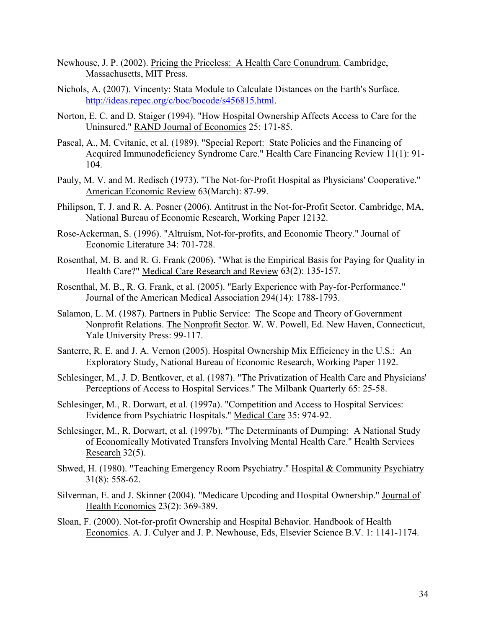- Newhouse, J. P. (2002). Pricing the Priceless: A Health Care Conundrum. Cambridge, Massachusetts, MIT Press.
- Nichols, A. (2007). Vincenty: Stata Module to Calculate Distances on the Earth's Surface. [http://ideas.repec.org/c/boc/bocode/s456815.html.](http://ideas.repec.org/c/boc/bocode/s456815.html)
- Norton, E. C. and D. Staiger (1994). "How Hospital Ownership Affects Access to Care for the Uninsured." RAND Journal of Economics 25: 171-85.
- Pascal, A., M. Cvitanic, et al. (1989). "Special Report: State Policies and the Financing of Acquired Immunodeficiency Syndrome Care." Health Care Financing Review 11(1): 91- 104.
- Pauly, M. V. and M. Redisch (1973). "The Not-for-Profit Hospital as Physicians' Cooperative." American Economic Review 63(March): 87-99.
- Philipson, T. J. and R. A. Posner (2006). Antitrust in the Not-for-Profit Sector. Cambridge, MA, National Bureau of Economic Research, Working Paper 12132.
- Rose-Ackerman, S. (1996). "Altruism, Not-for-profits, and Economic Theory." Journal of Economic Literature 34: 701-728.
- Rosenthal, M. B. and R. G. Frank (2006). "What is the Empirical Basis for Paying for Quality in Health Care?" Medical Care Research and Review 63(2): 135-157.
- Rosenthal, M. B., R. G. Frank, et al. (2005). "Early Experience with Pay-for-Performance." Journal of the American Medical Association 294(14): 1788-1793.
- Salamon, L. M. (1987). Partners in Public Service: The Scope and Theory of Government Nonprofit Relations. The Nonprofit Sector. W. W. Powell, Ed. New Haven, Connecticut, Yale University Press: 99-117.
- Santerre, R. E. and J. A. Vernon (2005). Hospital Ownership Mix Efficiency in the U.S.: An Exploratory Study, National Bureau of Economic Research, Working Paper 1192.
- Schlesinger, M., J. D. Bentkover, et al. (1987). "The Privatization of Health Care and Physicians' Perceptions of Access to Hospital Services." The Milbank Quarterly 65: 25-58.
- Schlesinger, M., R. Dorwart, et al. (1997a). "Competition and Access to Hospital Services: Evidence from Psychiatric Hospitals." Medical Care 35: 974-92.
- Schlesinger, M., R. Dorwart, et al. (1997b). "The Determinants of Dumping: A National Study of Economically Motivated Transfers Involving Mental Health Care." Health Services Research  $32(5)$ .
- Shwed, H. (1980). "Teaching Emergency Room Psychiatry." Hospital & Community Psychiatry 31(8): 558-62.
- Silverman, E. and J. Skinner (2004). "Medicare Upcoding and Hospital Ownership." Journal of Health Economics 23(2): 369-389.
- Sloan, F. (2000). Not-for-profit Ownership and Hospital Behavior. Handbook of Health Economics. A. J. Culyer and J. P. Newhouse, Eds, Elsevier Science B.V. 1: 1141-1174.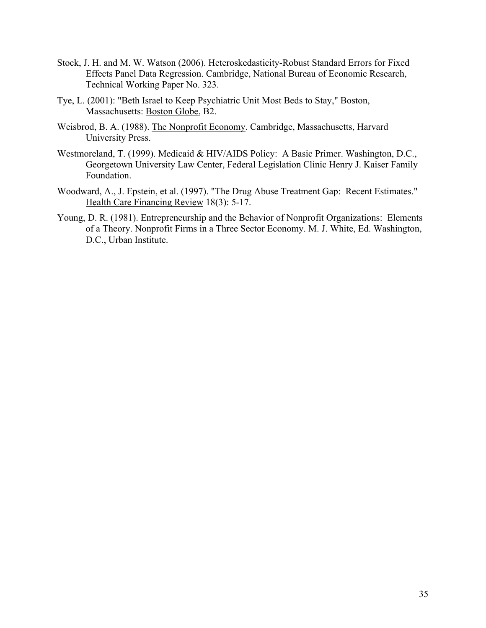- Stock, J. H. and M. W. Watson (2006). Heteroskedasticity-Robust Standard Errors for Fixed Effects Panel Data Regression. Cambridge, National Bureau of Economic Research, Technical Working Paper No. 323.
- Tye, L. (2001): "Beth Israel to Keep Psychiatric Unit Most Beds to Stay," Boston, Massachusetts: Boston Globe, B2.
- Weisbrod, B. A. (1988). The Nonprofit Economy. Cambridge, Massachusetts, Harvard University Press.
- Westmoreland, T. (1999). Medicaid & HIV/AIDS Policy: A Basic Primer. Washington, D.C., Georgetown University Law Center, Federal Legislation Clinic Henry J. Kaiser Family Foundation.
- Woodward, A., J. Epstein, et al. (1997). "The Drug Abuse Treatment Gap: Recent Estimates." Health Care Financing Review 18(3): 5-17.
- Young, D. R. (1981). Entrepreneurship and the Behavior of Nonprofit Organizations: Elements of a Theory. Nonprofit Firms in a Three Sector Economy. M. J. White, Ed. Washington, D.C., Urban Institute.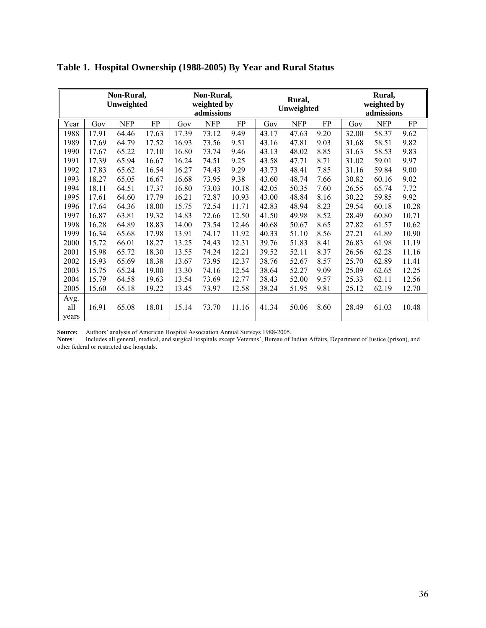| Non-Rural,<br>Unweighted |       | Non-Rural,<br>weighted by<br>admissions |       | Rural,<br>Unweighted |            | Rural,<br>weighted by<br>admissions |       |            |      |       |            |       |
|--------------------------|-------|-----------------------------------------|-------|----------------------|------------|-------------------------------------|-------|------------|------|-------|------------|-------|
| Year                     | Gov   | <b>NFP</b>                              | FP    | Gov                  | <b>NFP</b> | FP                                  | Gov   | <b>NFP</b> | FP   | Gov   | <b>NFP</b> | FP    |
| 1988                     | 17.91 | 64.46                                   | 17.63 | 17.39                | 73.12      | 9.49                                | 43.17 | 47.63      | 9.20 | 32.00 | 58.37      | 9.62  |
| 1989                     | 17.69 | 64.79                                   | 17.52 | 16.93                | 73.56      | 9.51                                | 43.16 | 47.81      | 9.03 | 31.68 | 58.51      | 9.82  |
| 1990                     | 17.67 | 65.22                                   | 17.10 | 16.80                | 73.74      | 9.46                                | 43.13 | 48.02      | 8.85 | 31.63 | 58.53      | 9.83  |
| 1991                     | 17.39 | 65.94                                   | 16.67 | 16.24                | 74.51      | 9.25                                | 43.58 | 47.71      | 8.71 | 31.02 | 59.01      | 9.97  |
| 1992                     | 17.83 | 65.62                                   | 16.54 | 16.27                | 74.43      | 9.29                                | 43.73 | 48.41      | 7.85 | 31.16 | 59.84      | 9.00  |
| 1993                     | 18.27 | 65.05                                   | 16.67 | 16.68                | 73.95      | 9.38                                | 43.60 | 48.74      | 7.66 | 30.82 | 60.16      | 9.02  |
| 1994                     | 18.11 | 64.51                                   | 17.37 | 16.80                | 73.03      | 10.18                               | 42.05 | 50.35      | 7.60 | 26.55 | 65.74      | 7.72  |
| 1995                     | 17.61 | 64.60                                   | 17.79 | 16.21                | 72.87      | 10.93                               | 43.00 | 48.84      | 8.16 | 30.22 | 59.85      | 9.92  |
| 1996                     | 17.64 | 64.36                                   | 18.00 | 15.75                | 72.54      | 11.71                               | 42.83 | 48.94      | 8.23 | 29.54 | 60.18      | 10.28 |
| 1997                     | 16.87 | 63.81                                   | 19.32 | 14.83                | 72.66      | 12.50                               | 41.50 | 49.98      | 8.52 | 28.49 | 60.80      | 10.71 |
| 1998                     | 16.28 | 64.89                                   | 18.83 | 14.00                | 73.54      | 12.46                               | 40.68 | 50.67      | 8.65 | 27.82 | 61.57      | 10.62 |
| 1999                     | 16.34 | 65.68                                   | 17.98 | 13.91                | 74.17      | 11.92                               | 40.33 | 51.10      | 8.56 | 27.21 | 61.89      | 10.90 |
| 2000                     | 15.72 | 66.01                                   | 18.27 | 13.25                | 74.43      | 12.31                               | 39.76 | 51.83      | 8.41 | 26.83 | 61.98      | 11.19 |
| 2001                     | 15.98 | 65.72                                   | 18.30 | 13.55                | 74.24      | 12.21                               | 39.52 | 52.11      | 8.37 | 26.56 | 62.28      | 11.16 |
| 2002                     | 15.93 | 65.69                                   | 18.38 | 13.67                | 73.95      | 12.37                               | 38.76 | 52.67      | 8.57 | 25.70 | 62.89      | 11.41 |
| 2003                     | 15.75 | 65.24                                   | 19.00 | 13.30                | 74.16      | 12.54                               | 38.64 | 52.27      | 9.09 | 25.09 | 62.65      | 12.25 |
| 2004                     | 15.79 | 64.58                                   | 19.63 | 13.54                | 73.69      | 12.77                               | 38.43 | 52.00      | 9.57 | 25.33 | 62.11      | 12.56 |
| 2005                     | 15.60 | 65.18                                   | 19.22 | 13.45                | 73.97      | 12.58                               | 38.24 | 51.95      | 9.81 | 25.12 | 62.19      | 12.70 |
| Avg.<br>all<br>vears     | 16.91 | 65.08                                   | 18.01 | 15.14                | 73.70      | 11.16                               | 41.34 | 50.06      | 8.60 | 28.49 | 61.03      | 10.48 |

**Table 1. Hospital Ownership (1988-2005) By Year and Rural Status** 

**Source:** Authors' analysis of American Hospital Association Annual Surveys 1988-2005.

**Notes**: Includes all general, medical, and surgical hospitals except Veterans', Bureau of Indian Affairs, Department of Justice (prison), and other federal or restricted use hospitals.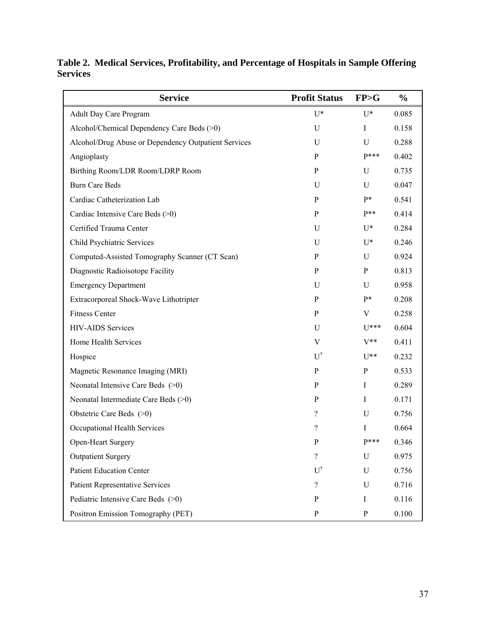**Service** Profit Status FP>G % Adult Day Care Program  $U^*$  U<sup>\*</sup> 0.085 Alcohol/Chemical Dependency Care Beds (>0) U I 0.158 Alcohol/Drug Abuse or Dependency Outpatient Services U U 0.288 Angioplasty P  $P^{***}$  0.402 Birthing Room/LDR Room/LDRP Room P U 0.735 Burn Care Beds U U 0.047 Cardiac Catheterization Lab P P <sup>P</sup> P<sup>\*</sup> 0.541 Cardiac Intensive Care Beds (>0)  $P$   $P^{**}$  0.414 Certified Trauma Center **U** U<sup>\*</sup> 0.284 Child Psychiatric Services and U U\* 0.246 Computed-Assisted Tomography Scanner (CT Scan) P U 0.924 Diagnostic Radioisotope Facility P P 0.813 Emergency Department U U 0.958 Extracorporeal Shock-Wave Lithotripter P P\* 0.208 Fitness Center P V 0.258 HIV-AIDS Services U U\*\*\* 0.604 Home Health Services  $V = V^*$  0.411 Hospice  $U^{\dagger}$  $U^{\dagger}$   $U^{**}$  0.232 Magnetic Resonance Imaging (MRI) P P 0.533 Neonatal Intensive Care Beds (>0) P I 0.289 Neonatal Intermediate Care Beds (>0) P I 0.171 Obstetric Care Beds (>0) ? U 0.756 Occupational Health Services 2 1 0.664 Open-Heart Surgery P<sup>\*\*\*</sup> 0.346 Outpatient Surgery 2 and 2009/25 U 0.975 Patient Education Center U<sup>†</sup> U 0.756 Patient Representative Services 2 and 2 and 2 and 2 and 2 and 2 and 2 and 2 and 2 and 2 and 2 and 2 and 2 and 2 and 2 and 2 and 2 and 2 and 2 and 2 and 2 and 2 and 2 and 2 and 2 and 2 and 2 and 2 and 2 and 2 and 2 and 2 an Pediatric Intensive Care Beds (>0) P I 0.116 Positron Emission Tomography (PET) P P 0.100

**Table 2. Medical Services, Profitability, and Percentage of Hospitals in Sample Offering Services**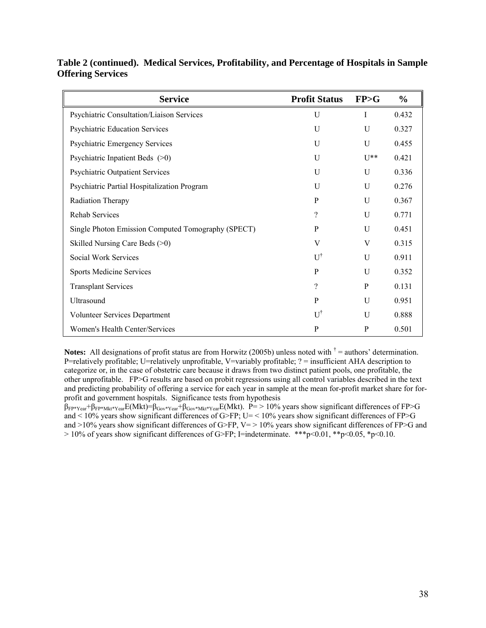| <b>Service</b>                                     | <b>Profit Status</b>     | FP>G          | $\frac{0}{0}$ |
|----------------------------------------------------|--------------------------|---------------|---------------|
| Psychiatric Consultation/Liaison Services          | $\mathbf{U}$             | T             | 0.432         |
| <b>Psychiatric Education Services</b>              | U                        | U             | 0.327         |
| <b>Psychiatric Emergency Services</b>              | U                        | U             | 0.455         |
| Psychiatric Inpatient Beds $(>0)$                  | $\mathbf{U}$             | $\frac{1}{2}$ | 0.421         |
| <b>Psychiatric Outpatient Services</b>             | $\overline{U}$           | $\mathbf{U}$  | 0.336         |
| Psychiatric Partial Hospitalization Program        | U                        | $\mathbf{U}$  | 0.276         |
| Radiation Therapy                                  | P                        | U             | 0.367         |
| <b>Rehab Services</b>                              | $\gamma$                 | U             | 0.771         |
| Single Photon Emission Computed Tomography (SPECT) | P                        | U             | 0.451         |
| Skilled Nursing Care Beds (>0)                     | V                        | V             | 0.315         |
| Social Work Services                               | $U^{\dagger}$            | $\mathbf{U}$  | 0.911         |
| <b>Sports Medicine Services</b>                    | $\mathbf{P}$             | U             | 0.352         |
| <b>Transplant Services</b>                         | $\overline{\mathcal{L}}$ | P             | 0.131         |
| Ultrasound                                         | $\mathbf{P}$             | U             | 0.951         |
| Volunteer Services Department                      | $U^{\dagger}$            | $\mathbf{U}$  | 0.888         |
| Women's Health Center/Services                     | $\mathbf{P}$             | P             | 0.501         |

**Table 2 (continued). Medical Services, Profitability, and Percentage of Hospitals in Sample Offering Services** 

**Notes:** All designations of profit status are from Horwitz (2005b) unless noted with  $\dagger$  = authors' determination. P=relatively profitable; U=relatively unprofitable, V=variably profitable; ? = insufficient AHA description to categorize or, in the case of obstetric care because it draws from two distinct patient pools, one profitable, the other unprofitable. FP>G results are based on probit regressions using all control variables described in the text and predicting probability of offering a service for each year in sample at the mean for-profit market share for forprofit and government hospitals. Significance tests from hypothesis

 $\beta_{FP*Year}+\beta_{FP*Mkt*Year}E(Mkt)=\beta_{Gov*Year}+\beta_{Gov*Mkt*Year}E(Mkt).$  P= > 10% years show significant differences of FP>G and  $\leq$  10% years show significant differences of G>FP; U=  $\leq$  10% years show significant differences of FP>G and  $>10\%$  years show significant differences of G $>$ FP, V=  $>10\%$  years show significant differences of FP $>$ G and  $> 10\%$  of years show significant differences of G>FP; I=indeterminate. \*\*\*p<0.01, \*\*p<0.05, \*p<0.10.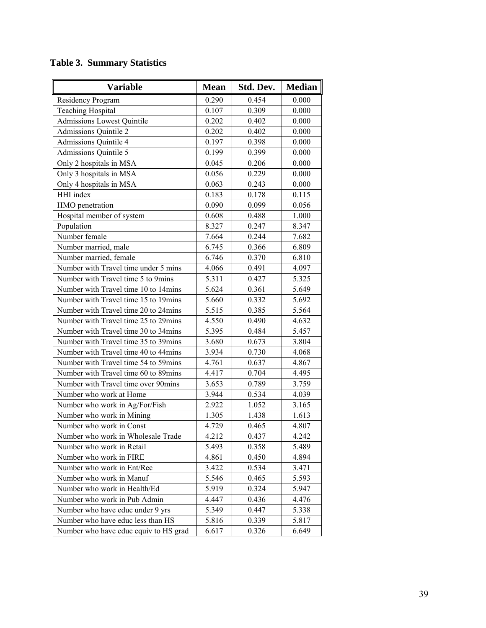# **Table 3. Summary Statistics**

| <b>Variable</b>                       | <b>Mean</b> | Std. Dev. | <b>Median</b> |
|---------------------------------------|-------------|-----------|---------------|
| Residency Program                     | 0.290       | 0.454     | 0.000         |
| <b>Teaching Hospital</b>              | 0.107       | 0.309     | 0.000         |
| <b>Admissions Lowest Quintile</b>     | 0.202       | 0.402     | 0.000         |
| <b>Admissions Quintile 2</b>          | 0.202       | 0.402     | 0.000         |
| <b>Admissions Quintile 4</b>          | 0.197       | 0.398     | 0.000         |
| <b>Admissions Quintile 5</b>          | 0.199       | 0.399     | 0.000         |
| Only 2 hospitals in MSA               | 0.045       | 0.206     | 0.000         |
| Only 3 hospitals in MSA               | 0.056       | 0.229     | 0.000         |
| Only 4 hospitals in MSA               | 0.063       | 0.243     | 0.000         |
| HHI index                             | 0.183       | 0.178     | 0.115         |
| HMO penetration                       | 0.090       | 0.099     | 0.056         |
| Hospital member of system             | 0.608       | 0.488     | 1.000         |
| Population                            | 8.327       | 0.247     | 8.347         |
| Number female                         | 7.664       | 0.244     | 7.682         |
| Number married, male                  | 6.745       | 0.366     | 6.809         |
| Number married, female                | 6.746       | 0.370     | 6.810         |
| Number with Travel time under 5 mins  | 4.066       | 0.491     | 4.097         |
| Number with Travel time 5 to 9mins    | 5.311       | 0.427     | 5.325         |
| Number with Travel time 10 to 14mins  | 5.624       | 0.361     | 5.649         |
| Number with Travel time 15 to 19mins  | 5.660       | 0.332     | 5.692         |
| Number with Travel time 20 to 24mins  | 5.515       | 0.385     | 5.564         |
| Number with Travel time 25 to 29mins  | 4.550       | 0.490     | 4.632         |
| Number with Travel time 30 to 34mins  | 5.395       | 0.484     | 5.457         |
| Number with Travel time 35 to 39mins  | 3.680       | 0.673     | 3.804         |
| Number with Travel time 40 to 44mins  | 3.934       | 0.730     | 4.068         |
| Number with Travel time 54 to 59mins  | 4.761       | 0.637     | 4.867         |
| Number with Travel time 60 to 89mins  | 4.417       | 0.704     | 4.495         |
| Number with Travel time over 90mins   | 3.653       | 0.789     | 3.759         |
| Number who work at Home               | 3.944       | 0.534     | 4.039         |
| Number who work in Ag/For/Fish        | 2.922       | 1.052     | 3.165         |
| Number who work in Mining             | 1.305       | 1.438     | 1.613         |
| Number who work in Const              | 4.729       | 0.465     | 4.807         |
| Number who work in Wholesale Trade    | 4.212       | 0.437     | 4.242         |
| Number who work in Retail             | 5.493       | 0.358     | 5.489         |
| Number who work in FIRE               | 4.861       | 0.450     | 4.894         |
| Number who work in Ent/Rec            | 3.422       | 0.534     | 3.471         |
| Number who work in Manuf              | 5.546       | 0.465     | 5.593         |
| Number who work in Health/Ed          | 5.919       | 0.324     | 5.947         |
| Number who work in Pub Admin          | 4.447       | 0.436     | 4.476         |
| Number who have educ under 9 yrs      | 5.349       | 0.447     | 5.338         |
| Number who have educ less than HS     | 5.816       | 0.339     | 5.817         |
| Number who have educ equiv to HS grad | 6.617       | 0.326     | 6.649         |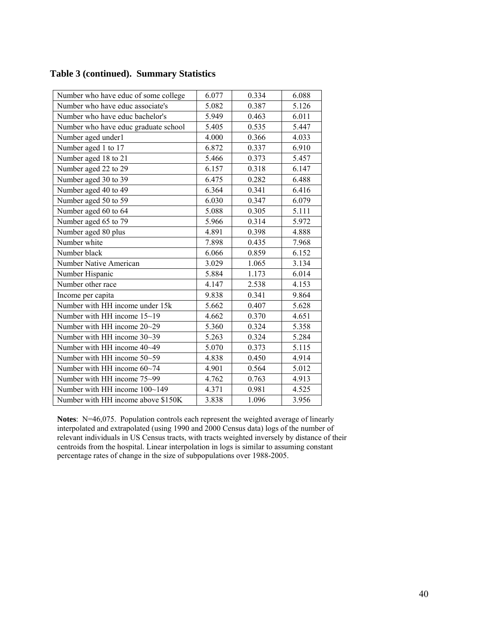| Number who have educ of some college | 6.077 | 0.334 | 6.088 |
|--------------------------------------|-------|-------|-------|
| Number who have educ associate's     | 5.082 | 0.387 | 5.126 |
| Number who have educ bachelor's      | 5.949 | 0.463 | 6.011 |
| Number who have educ graduate school | 5.405 | 0.535 | 5.447 |
| Number aged under1                   | 4.000 | 0.366 | 4.033 |
| Number aged 1 to 17                  | 6.872 | 0.337 | 6.910 |
| Number aged 18 to 21                 | 5.466 | 0.373 | 5.457 |
| Number aged 22 to 29                 | 6.157 | 0.318 | 6.147 |
| Number aged 30 to 39                 | 6.475 | 0.282 | 6.488 |
| Number aged 40 to 49                 | 6.364 | 0.341 | 6.416 |
| Number aged 50 to 59                 | 6.030 | 0.347 | 6.079 |
| Number aged 60 to 64                 | 5.088 | 0.305 | 5.111 |
| Number aged 65 to 79                 | 5.966 | 0.314 | 5.972 |
| Number aged 80 plus                  | 4.891 | 0.398 | 4.888 |
| Number white                         | 7.898 | 0.435 | 7.968 |
| Number black                         | 6.066 | 0.859 | 6.152 |
| Number Native American               | 3.029 | 1.065 | 3.134 |
| Number Hispanic                      | 5.884 | 1.173 | 6.014 |
| Number other race                    | 4.147 | 2.538 | 4.153 |
| Income per capita                    | 9.838 | 0.341 | 9.864 |
| Number with HH income under 15k      | 5.662 | 0.407 | 5.628 |
| Number with HH income 15~19          | 4.662 | 0.370 | 4.651 |
| Number with HH income 20~29          | 5.360 | 0.324 | 5.358 |
| Number with HH income 30~39          | 5.263 | 0.324 | 5.284 |
| Number with HH income 40~49          | 5.070 | 0.373 | 5.115 |
| Number with HH income 50~59          | 4.838 | 0.450 | 4.914 |
| Number with HH income 60~74          | 4.901 | 0.564 | 5.012 |
| Number with HH income 75~99          | 4.762 | 0.763 | 4.913 |
| Number with HH income 100~149        | 4.371 | 0.981 | 4.525 |
| Number with HH income above \$150K   | 3.838 | 1.096 | 3.956 |

**Notes**: N=46,075. Population controls each represent the weighted average of linearly interpolated and extrapolated (using 1990 and 2000 Census data) logs of the number of relevant individuals in US Census tracts, with tracts weighted inversely by distance of their centroids from the hospital. Linear interpolation in logs is similar to assuming constant percentage rates of change in the size of subpopulations over 1988-2005.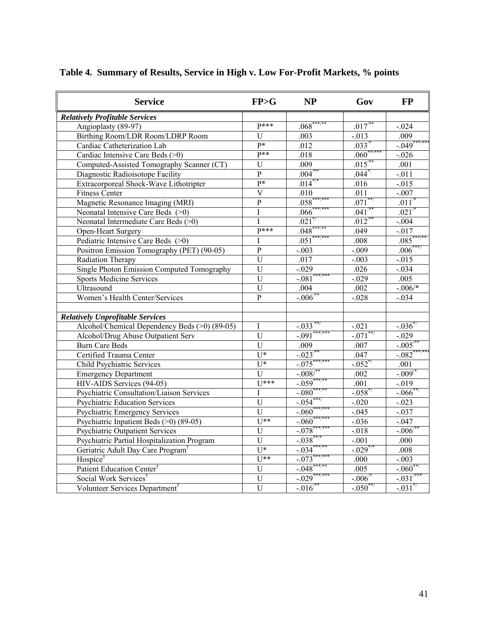| <b>Service</b>                                | FP>G                    | <b>NP</b>             | Gov                     | <b>FP</b>            |
|-----------------------------------------------|-------------------------|-----------------------|-------------------------|----------------------|
| <b>Relatively Profitable Services</b>         |                         |                       |                         |                      |
| Angioplasty (89-97)                           | $P***$                  | $.068***$             | $.017$ <sup>**</sup>    | $-.024$              |
| Birthing Room/LDR Room/LDRP Room              | $\mathbf U$             | .003                  | $-.013$                 | .009                 |
| Cardiac Catheterization Lab                   | $p*$                    | .012                  | $.033^{4}$              | $-0.049***$          |
| Cardiac Intensive Care Beds (>0)              | $P**$                   | .018                  | $.060***$               | $-.026$              |
| Computed-Assisted Tomography Scanner (CT)     | $\mathbf U$             | .009                  | $.015^{**}$             | .001                 |
| Diagnostic Radioisotope Facility              | $\overline{P}$          | $.004^{**}$           | $.044^{*}$              | $-.011$              |
| Extracorporeal Shock-Wave Lithotripter        | p*                      | $.014^{*/*}$          | .016                    | $-015$               |
| <b>Fitness Center</b>                         | $\overline{\mathbf{V}}$ | $.010\,$              | .011                    | $-.007$              |
| Magnetic Resonance Imaging (MRI)              | $\overline{P}$          | $.058***$             | $.071***$               | $.011^{4}$           |
| Neonatal Intensive Care Beds (>0)             | $\mathbf I$             | $.066***$             | $.041^{**}$             | .021'                |
| Neonatal Intermediate Care Beds (>0)          | I                       | $.021$ <sup>*</sup>   | $.012^{/*}$             | $-.004$              |
| Open-Heart Surgery                            | $P***$                  | $.048^{**}$           | .049                    | $-.017$              |
| Pediatric Intensive Care Beds (>0)            | $\overline{I}$          | $.051***$             | .008                    | .085                 |
| Positron Emission Tomography (PET) (90-05)    | $\mathbf{P}$            | $-.003$               | $-.009$                 | $.006*$              |
| Radiation Therapy                             | $\mathbf U$             | .017                  | $-.003$                 | $-.015$              |
| Single Photon Emission Computed Tomography    | $\overline{U}$          | $-.029$               | .026                    | $-.034$              |
| <b>Sports Medicine Services</b>               | U                       | $-.081***$            | $-.029$                 | .005                 |
| Ultrasound                                    | $\mathbf U$             | .004                  | .002                    | $-.006$ /*           |
| Women's Health Center/Services                | $\overline{P}$          | $-.006^{4}$           | $-.028$                 | $-.034$              |
| <b>Relatively Unprofitable Services</b>       |                         |                       |                         |                      |
| Alcohol/Chemical Dependency Beds (>0) (89-05) | I                       | $-.033$ <sup>**</sup> | $-.021$                 | $-.036^{*}$          |
| Alcohol/Drug Abuse Outpatient Serv            | $\mathbf U$             | $-.091***$            | $-.071***$              | $-.029$              |
| <b>Burn Care Beds</b>                         | U                       | .009                  | .007                    | $-.005^{*}$          |
| Certified Trauma Center                       | $U^*$                   | $-.023^{4}$           | .047                    | $-082***$            |
| <b>Child Psychiatric Services</b>             | $U^*$                   | $-0.075***$           | $-.052^{*/}$            | .001                 |
| <b>Emergency Department</b>                   | U                       | $-.008/$              | .002                    | $-.009$ <sup>*</sup> |
| HIV-AIDS Services (94-05)                     | $U$ ***                 | $-0.059$ **           | .001                    | $-0.019$             |
| Psychiatric Consultation/Liaison Services     | I                       | $-080^*$              | $-0.058$                | $-0.066$             |
| <b>Psychiatric Education Services</b>         | $\mathbf U$             | $-.054$ <sup>*</sup>  | $-.020$                 | $-.023$              |
| <b>Psychiatric Emergency Services</b>         | $\overline{U}$          | $-.060^{\circ}$       | $-.045$                 | $-.037$              |
| Psychiatric Inpatient Beds (>0) (89-05)       | $\overline{U^{**}}$     | $-.060$ <sup>*</sup>  | $-0.036$                | $-0.047$             |
| <b>Psychiatric Outpatient Services</b>        | $\overline{U}$          | $-.078$               | $-0.018$                | $-.006$              |
| Psychiatric Partial Hospitalization Program   | $\overline{U}$          | $-.038$ **            | $-.001$                 | .000                 |
| Geriatric Adult Day Care Program <sup>†</sup> | $\overline{U^*}$        | $-.034$               | $-0.029$ <sup>*/*</sup> | .008                 |
| Hospice <sup>†</sup>                          | $\overline{U^{**}}$     | $-0.073$              | .000                    | $-.003$              |
| Patient Education Center <sup>†</sup>         | $\overline{U}$          | $-0.048$              | .005                    | $-.060^*$            |
| Social Work Services <sup>†</sup>             | $\mathbf U$             | $-.029$ <sup>*</sup>  | $-.006^{4}$             | $-.031'$             |
| Volunteer Services Department <sup>†</sup>    | $\overline{U}$          | $-.016'$              | $-.050***$              | $-.031$ <sup>*</sup> |

# **Table 4. Summary of Results, Service in High v. Low For-Profit Markets, % points**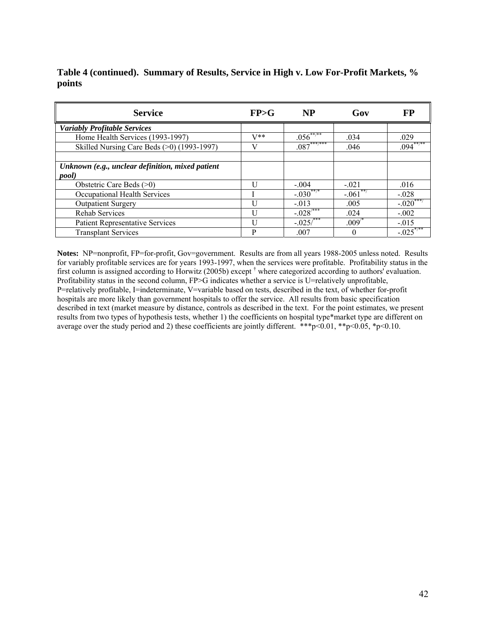### **Table 4 (continued). Summary of Results, Service in High v. Low For-Profit Markets, % points**

| <b>Service</b>                                   | FP>G         | <b>NP</b>               | Gov        | FP                       |
|--------------------------------------------------|--------------|-------------------------|------------|--------------------------|
| <b>Variably Profitable Services</b>              |              |                         |            |                          |
| Home Health Services (1993-1997)                 | $V^**$       | $.056***$               | .034       | .029                     |
| Skilled Nursing Care Beds $(>0)$ (1993-1997)     | $\mathbf{V}$ | $.087***$               | .046       | $.094***$                |
|                                                  |              |                         |            |                          |
| Unknown (e.g., unclear definition, mixed patient |              |                         |            |                          |
| pool)                                            |              |                         |            |                          |
| Obstetric Care Beds $(>0)$                       |              | $-.004$                 | $-.021$    | .016                     |
| Occupational Health Services                     |              | $-.030$ <sup>**/*</sup> | $-.061***$ | $-.028$                  |
| <b>Outpatient Surgery</b>                        |              | $-.013$                 | .005       | $-.020$ <sup>***</sup> / |
| <b>Rehab Services</b>                            | Ħ            | $-.028$ <sup>7***</sup> | .024       | $-.002$                  |
| Patient Representative Services                  |              | $-.025$ <sup>***</sup>  | $.009^{*}$ | $-.015$                  |
| <b>Transplant Services</b>                       | P            | .007                    | 0          | $-.025$                  |

**Notes:** NP=nonprofit, FP=for-profit, Gov=government. Results are from all years 1988-2005 unless noted. Results for variably profitable services are for years 1993-1997, when the services were profitable. Profitability status in the first column is assigned according to Horwitz (2005b) except  $\dagger$  where categorized according to authors' evaluation. Profitability status in the second column, FP>G indicates whether a service is U=relatively unprofitable, P=relatively profitable, I=indeterminate, V=variable based on tests, described in the text, of whether for-profit hospitals are more likely than government hospitals to offer the service. All results from basic specification described in text (market measure by distance, controls as described in the text. For the point estimates, we present results from two types of hypothesis tests, whether 1) the coefficients on hospital type\*market type are different on average over the study period and 2) these coefficients are jointly different. \*\*\*p<0.01, \*\*p<0.05, \*p<0.10.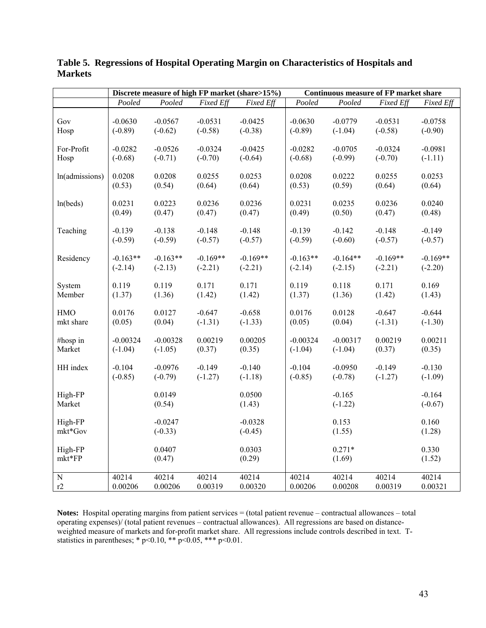|                    | Discrete measure of high FP market (share>15%) |                        |            |                        | <b>Continuous measure of FP market share</b> |                       |            |                       |
|--------------------|------------------------------------------------|------------------------|------------|------------------------|----------------------------------------------|-----------------------|------------|-----------------------|
|                    | Pooled                                         | Pooled                 | Fixed Eff  | Fixed Eff              | Pooled                                       | Pooled                | Fixed Eff  | Fixed Eff             |
| Gov                | $-0.0630$                                      | $-0.0567$              | $-0.0531$  | $-0.0425$              | $-0.0630$                                    | $-0.0779$             | $-0.0531$  | $-0.0758$             |
| Hosp               | $(-0.89)$                                      | $(-0.62)$              | $(-0.58)$  | $(-0.38)$              | $(-0.89)$                                    | $(-1.04)$             | $(-0.58)$  | $(-0.90)$             |
| For-Profit         | $-0.0282$                                      | $-0.0526$              | $-0.0324$  | $-0.0425$              | $-0.0282$                                    | $-0.0705$             | $-0.0324$  | $-0.0981$             |
| Hosp               | $(-0.68)$                                      | $(-0.71)$              | $(-0.70)$  | $(-0.64)$              | $(-0.68)$                                    | $(-0.99)$             | $(-0.70)$  | $(-1.11)$             |
| ln(admissions)     | 0.0208                                         | 0.0208                 | 0.0255     | 0.0253                 | 0.0208                                       | 0.0222                | 0.0255     | 0.0253                |
|                    | (0.53)                                         | (0.54)                 | (0.64)     | (0.64)                 | (0.53)                                       | (0.59)                | (0.64)     | (0.64)                |
| ln(beds)           | 0.0231                                         | 0.0223                 | 0.0236     | 0.0236                 | 0.0231                                       | 0.0235                | 0.0236     | 0.0240                |
|                    | (0.49)                                         | (0.47)                 | (0.47)     | (0.47)                 | (0.49)                                       | (0.50)                | (0.47)     | (0.48)                |
| Teaching           | $-0.139$                                       | $-0.138$               | $-0.148$   | $-0.148$               | $-0.139$                                     | $-0.142$              | $-0.148$   | $-0.149$              |
|                    | $(-0.59)$                                      | $(-0.59)$              | $(-0.57)$  | $(-0.57)$              | $(-0.59)$                                    | $(-0.60)$             | $(-0.57)$  | $(-0.57)$             |
| Residency          | $-0.163**$                                     | $-0.163**$             | $-0.169**$ | $-0.169**$             | $-0.163**$                                   | $-0.164**$            | $-0.169**$ | $-0.169**$            |
|                    | $(-2.14)$                                      | $(-2.13)$              | $(-2.21)$  | $(-2.21)$              | $(-2.14)$                                    | $(-2.15)$             | $(-2.21)$  | $(-2.20)$             |
| System             | 0.119                                          | 0.119                  | 0.171      | 0.171                  | 0.119                                        | 0.118                 | 0.171      | 0.169                 |
| Member             | (1.37)                                         | (1.36)                 | (1.42)     | (1.42)                 | (1.37)                                       | (1.36)                | (1.42)     | (1.43)                |
| <b>HMO</b>         | 0.0176                                         | 0.0127                 | $-0.647$   | $-0.658$               | 0.0176                                       | 0.0128                | $-0.647$   | $-0.644$              |
| mkt share          | (0.05)                                         | (0.04)                 | $(-1.31)$  | $(-1.33)$              | (0.05)                                       | (0.04)                | $(-1.31)$  | $(-1.30)$             |
| #hosp in           | $-0.00324$                                     | $-0.00328$             | 0.00219    | 0.00205                | $-0.00324$                                   | $-0.00317$            | 0.00219    | 0.00211               |
| Market             | $(-1.04)$                                      | $(-1.05)$              | (0.37)     | (0.35)                 | $(-1.04)$                                    | $(-1.04)$             | (0.37)     | (0.35)                |
| HH index           | $-0.104$                                       | $-0.0976$              | $-0.149$   | $-0.140$               | $-0.104$                                     | $-0.0950$             | $-0.149$   | $-0.130$              |
|                    | $(-0.85)$                                      | $(-0.79)$              | $(-1.27)$  | $(-1.18)$              | $(-0.85)$                                    | $(-0.78)$             | $(-1.27)$  | $(-1.09)$             |
| High-FP<br>Market  |                                                | 0.0149<br>(0.54)       |            | 0.0500<br>(1.43)       |                                              | $-0.165$<br>$(-1.22)$ |            | $-0.164$<br>$(-0.67)$ |
| High-FP<br>mkt*Gov |                                                | $-0.0247$<br>$(-0.33)$ |            | $-0.0328$<br>$(-0.45)$ |                                              | 0.153<br>(1.55)       |            | 0.160<br>(1.28)       |
| High-FP<br>mkt*FP  |                                                | 0.0407<br>(0.47)       |            | 0.0303<br>(0.29)       |                                              | $0.271*$<br>(1.69)    |            | 0.330<br>(1.52)       |
| ${\bf N}$          | 40214                                          | 40214                  | 40214      | 40214                  | 40214                                        | 40214                 | 40214      | 40214                 |
| r2                 | 0.00206                                        | 0.00206                | 0.00319    | 0.00320                | 0.00206                                      | 0.00208               | 0.00319    | 0.00321               |

**Table 5. Regressions of Hospital Operating Margin on Characteristics of Hospitals and Markets** 

**Notes:** Hospital operating margins from patient services = (total patient revenue – contractual allowances – total operating expenses)/ (total patient revenues – contractual allowances). All regressions are based on distanceweighted measure of markets and for-profit market share. All regressions include controls described in text. Tstatistics in parentheses; \*  $p<0.10$ , \*\*  $p<0.05$ , \*\*\*  $p<0.01$ .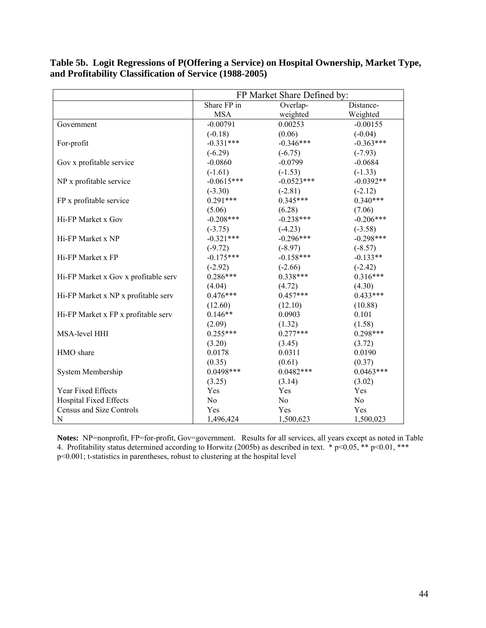|                                      | FP Market Share Defined by: |                |                |  |  |  |
|--------------------------------------|-----------------------------|----------------|----------------|--|--|--|
|                                      | Share FP in                 | Overlap-       | Distance-      |  |  |  |
|                                      | <b>MSA</b>                  | weighted       | Weighted       |  |  |  |
| Government                           | $-0.00791$                  | 0.00253        | $-0.00155$     |  |  |  |
|                                      | $(-0.18)$                   | (0.06)         | $(-0.04)$      |  |  |  |
| For-profit                           | $-0.331***$                 | $-0.346***$    | $-0.363***$    |  |  |  |
|                                      | $(-6.29)$                   | $(-6.75)$      | $(-7.93)$      |  |  |  |
| Gov x profitable service             | $-0.0860$                   | $-0.0799$      | $-0.0684$      |  |  |  |
|                                      | $(-1.61)$                   | $(-1.53)$      | $(-1.33)$      |  |  |  |
| NP x profitable service              | $-0.0615***$                | $-0.0523***$   | $-0.0392**$    |  |  |  |
|                                      | $(-3.30)$                   | $(-2.81)$      | $(-2.12)$      |  |  |  |
| FP x profitable service              | $0.291***$                  | $0.345***$     | $0.340***$     |  |  |  |
|                                      | (5.06)                      | (6.28)         | (7.06)         |  |  |  |
| Hi-FP Market x Gov                   | $-0.208***$                 | $-0.238***$    | $-0.206***$    |  |  |  |
|                                      | $(-3.75)$                   | $(-4.23)$      | $(-3.58)$      |  |  |  |
| Hi-FP Market x NP                    | $-0.321***$                 | $-0.296***$    | $-0.298***$    |  |  |  |
|                                      | $(-9.72)$                   | $(-8.97)$      | $(-8.57)$      |  |  |  |
| Hi-FP Market x FP                    | $-0.175***$                 | $-0.158***$    | $-0.133**$     |  |  |  |
|                                      | $(-2.92)$                   | $(-2.66)$      | $(-2.42)$      |  |  |  |
| Hi-FP Market x Gov x profitable serv | $0.286***$                  | $0.338***$     | $0.316***$     |  |  |  |
|                                      | (4.04)                      | (4.72)         | (4.30)         |  |  |  |
| Hi-FP Market x NP x profitable serv  | $0.476***$                  | $0.457***$     | $0.433***$     |  |  |  |
|                                      | (12.60)                     | (12.10)        | (10.88)        |  |  |  |
| Hi-FP Market x FP x profitable serv  | $0.146**$                   | 0.0903         | 0.101          |  |  |  |
|                                      | (2.09)                      | (1.32)         | (1.58)         |  |  |  |
| MSA-level HHI                        | $0.255***$                  | $0.277***$     | $0.298***$     |  |  |  |
|                                      | (3.20)                      | (3.45)         | (3.72)         |  |  |  |
| HMO share                            | 0.0178                      | 0.0311         | 0.0190         |  |  |  |
|                                      | (0.35)                      | (0.61)         | (0.37)         |  |  |  |
| System Membership                    | $0.0498***$                 | $0.0482***$    | $0.0463***$    |  |  |  |
|                                      | (3.25)                      | (3.14)         | (3.02)         |  |  |  |
| Year Fixed Effects                   | Yes                         | Yes            | Yes            |  |  |  |
| <b>Hospital Fixed Effects</b>        | N <sub>0</sub>              | N <sub>0</sub> | N <sub>0</sub> |  |  |  |
| Census and Size Controls             | Yes                         | Yes            | Yes            |  |  |  |
| $\mathbf N$                          | 1,496,424                   | 1,500,623      | 1,500,023      |  |  |  |

**Table 5b. Logit Regressions of P(Offering a Service) on Hospital Ownership, Market Type, and Profitability Classification of Service (1988-2005)** 

**Notes:** NP=nonprofit, FP=for-profit, Gov=government. Results for all services, all years except as noted in Table 4. Profitability status determined according to Horwitz (2005b) as described in text.  $*$  p<0.05,  $**$  p<0.01,  $***$ p<0.001; t-statistics in parentheses, robust to clustering at the hospital level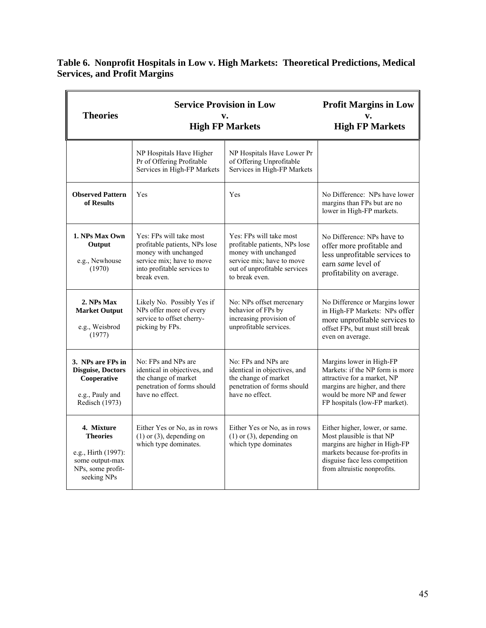|                                     | Table 6. Nonprofit Hospitals in Low v. High Markets: Theoretical Predictions, Medical |
|-------------------------------------|---------------------------------------------------------------------------------------|
| <b>Services, and Profit Margins</b> |                                                                                       |

 $\overline{r}$ 

|                                                                                                             | <b>Service Provision in Low</b>                                                                                                                             | <b>Profit Margins in Low</b>                                                                                                                                    |                                                                                                                                                                                                 |  |
|-------------------------------------------------------------------------------------------------------------|-------------------------------------------------------------------------------------------------------------------------------------------------------------|-----------------------------------------------------------------------------------------------------------------------------------------------------------------|-------------------------------------------------------------------------------------------------------------------------------------------------------------------------------------------------|--|
| <b>Theories</b>                                                                                             | v.<br><b>High FP Markets</b>                                                                                                                                | v.<br><b>High FP Markets</b>                                                                                                                                    |                                                                                                                                                                                                 |  |
|                                                                                                             | NP Hospitals Have Higher<br>Pr of Offering Profitable<br>Services in High-FP Markets                                                                        | NP Hospitals Have Lower Pr<br>of Offering Unprofitable<br>Services in High-FP Markets                                                                           |                                                                                                                                                                                                 |  |
| <b>Observed Pattern</b><br>of Results                                                                       | Yes                                                                                                                                                         | Yes                                                                                                                                                             | No Difference: NPs have lower<br>margins than FPs but are no<br>lower in High-FP markets.                                                                                                       |  |
| 1. NPs Max Own<br>Output<br>e.g., Newhouse<br>(1970)                                                        | Yes: FPs will take most<br>profitable patients, NPs lose<br>money with unchanged<br>service mix; have to move<br>into profitable services to<br>break even. | Yes: FPs will take most<br>profitable patients, NPs lose<br>money with unchanged<br>service mix; have to move<br>out of unprofitable services<br>to break even. | No Difference: NPs have to<br>offer more profitable and<br>less unprofitable services to<br>earn same level of<br>profitability on average.                                                     |  |
| 2. NPs Max<br><b>Market Output</b><br>e.g., Weisbrod<br>(1977)                                              | Likely No. Possibly Yes if<br>NPs offer more of every<br>service to offset cherry-<br>picking by FPs.                                                       | No: NPs offset mercenary<br>behavior of FPs by<br>increasing provision of<br>unprofitable services.                                                             | No Difference or Margins lower<br>in High-FP Markets: NPs offer<br>more unprofitable services to<br>offset FPs, but must still break<br>even on average.                                        |  |
| 3. NPs are FPs in<br><b>Disguise, Doctors</b><br>Cooperative<br>e.g., Pauly and<br>Redisch (1973)           | No: FPs and NPs are<br>identical in objectives, and<br>the change of market<br>penetration of forms should<br>have no effect.                               | No: FPs and NPs are<br>identical in objectives, and<br>the change of market<br>penetration of forms should<br>have no effect.                                   | Margins lower in High-FP<br>Markets: if the NP form is more<br>attractive for a market, NP<br>margins are higher, and there<br>would be more NP and fewer<br>FP hospitals (low-FP market).      |  |
| 4. Mixture<br><b>Theories</b><br>e.g., Hirth (1997):<br>some output-max<br>NPs, some profit-<br>seeking NPs | Either Yes or No, as in rows<br>$(1)$ or $(3)$ , depending on<br>which type dominates.                                                                      | Either Yes or No, as in rows<br>$(1)$ or $(3)$ , depending on<br>which type dominates                                                                           | Either higher, lower, or same.<br>Most plausible is that NP<br>margins are higher in High-FP<br>markets because for-profits in<br>disguise face less competition<br>from altruistic nonprofits. |  |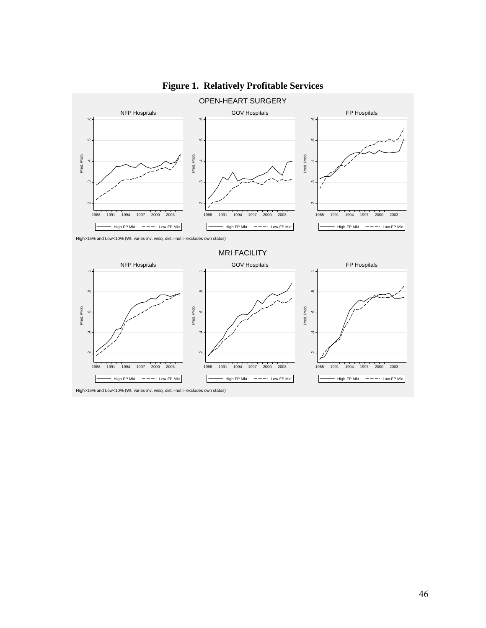

# **Figure 1. Relatively Profitable Services**

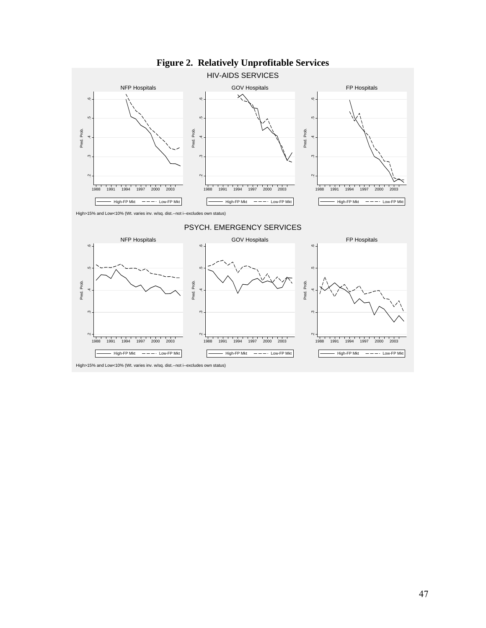

**Figure 2. Relatively Unprofitable Services**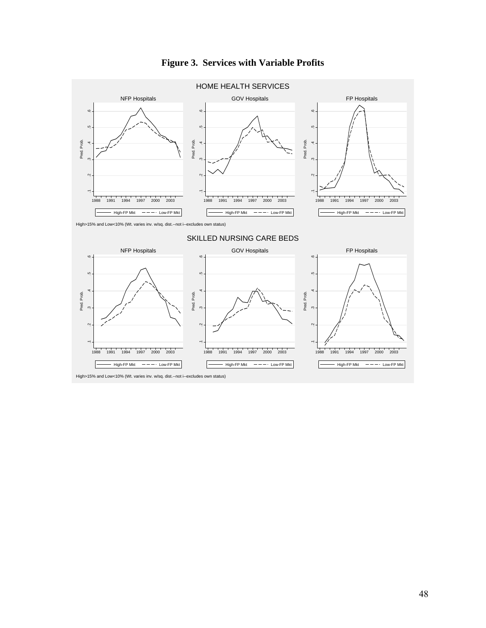

# **Figure 3. Services with Variable Profits**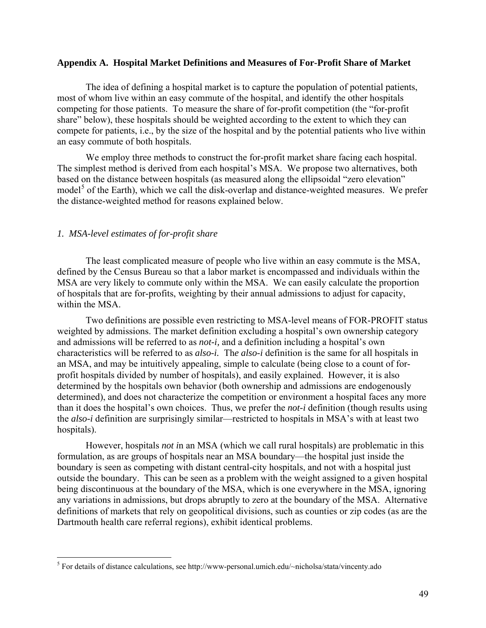#### **Appendix A. Hospital Market Definitions and Measures of For-Profit Share of Market**

The idea of defining a hospital market is to capture the population of potential patients, most of whom live within an easy commute of the hospital, and identify the other hospitals competing for those patients. To measure the share of for-profit competition (the "for-profit share" below), these hospitals should be weighted according to the extent to which they can compete for patients, i.e., by the size of the hospital and by the potential patients who live within an easy commute of both hospitals.

We employ three methods to construct the for-profit market share facing each hospital. The simplest method is derived from each hospital's MSA. We propose two alternatives, both based on the distance between hospitals (as measured along the ellipsoidal "zero elevation" model<sup>[5](#page-50-0)</sup> of the Earth), which we call the disk-overlap and distance-weighted measures. We prefer the distance-weighted method for reasons explained below.

#### *1. MSA-level estimates of for-profit share*

 $\overline{a}$ 

The least complicated measure of people who live within an easy commute is the MSA, defined by the Census Bureau so that a labor market is encompassed and individuals within the MSA are very likely to commute only within the MSA. We can easily calculate the proportion of hospitals that are for-profits, weighting by their annual admissions to adjust for capacity, within the MSA.

Two definitions are possible even restricting to MSA-level means of FOR-PROFIT status weighted by admissions. The market definition excluding a hospital's own ownership category and admissions will be referred to as *not-i,* and a definition including a hospital's own characteristics will be referred to as *also-i.* Th*e also-i* definition is the same for all hospitals in an MSA, and may be intuitively appealing, simple to calculate (being close to a count of forprofit hospitals divided by number of hospitals), and easily explained. However, it is also determined by the hospitals own behavior (both ownership and admissions are endogenously determined), and does not characterize the competition or environment a hospital faces any more than it does the hospital's own choices. Thus, we prefer the *not-i* definition (though results using the *also-i* definition are surprisingly similar—restricted to hospitals in MSA's with at least two hospitals).

However, hospitals *not i*n an MSA (which we call rural hospitals) are problematic in this formulation, as are groups of hospitals near an MSA boundary—the hospital just inside the boundary is seen as competing with distant central-city hospitals, and not with a hospital just outside the boundary. This can be seen as a problem with the weight assigned to a given hospital being discontinuous at the boundary of the MSA, which is one everywhere in the MSA, ignoring any variations in admissions, but drops abruptly to zero at the boundary of the MSA. Alternative definitions of markets that rely on geopolitical divisions, such as counties or zip codes (as are the Dartmouth health care referral regions), exhibit identical problems.

<span id="page-50-0"></span><sup>&</sup>lt;sup>5</sup> For details of distance calculations, see http://www-personal.umich.edu/~nicholsa/stata/vincenty.ado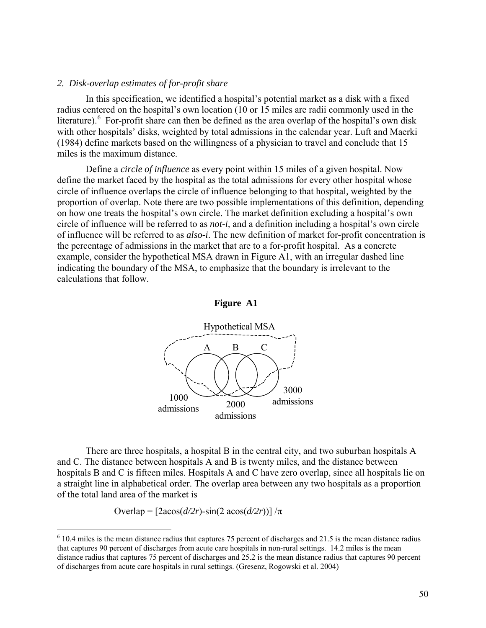### *2. Disk-overlap estimates of for-profit share*

In this specification, we identified a hospital's potential market as a disk with a fixed radius centered on the hospital's own location (10 or 15 miles are radii commonly used in the literature).  $6$  For-profit share can then be defined as the area overlap of the hospital's own disk with other hospitals' disks, weighted by total admissions in the calendar year. Luft and Maerki (1984) define markets based on the willingness of a physician to travel and conclude that 15 miles is the maximum distance.

Define a *circle of influence* as every point within 15 miles of a given hospital. Now define the market faced by the hospital as the total admissions for every other hospital whose circle of influence overlaps the circle of influence belonging to that hospital*,* weighted by the proportion of overlap. Note there are two possible implementations of this definition, depending on how one treats the hospital's own circle. The market definition excluding a hospital's own circle of influence will be referred to as *not-i,* and a definition including a hospital's own circle of influence will be referred to as *also-i*. The new definition of market for-profit concentration is the percentage of admissions in the market that are to a for-profit hospital. As a concrete example, consider the hypothetical MSA drawn in Figure A1, with an irregular dashed line indicating the boundary of the MSA, to emphasize that the boundary is irrelevant to the calculations that follow.

#### **Figure A1**



There are three hospitals, a hospital B in the central city, and two suburban hospitals A and C. The distance between hospitals A and B is twenty miles, and the distance between hospitals B and C is fifteen miles. Hospitals A and C have zero overlap, since all hospitals lie on a straight line in alphabetical order. The overlap area between any two hospitals as a proportion of the total land area of the market is

Overlap =  $[2a\cos(\frac{d}{2r}) - \sin(2 a\cos(\frac{d}{2r}))] / \pi$ 

 $\overline{a}$ 

<span id="page-51-0"></span> $6$  10.4 miles is the mean distance radius that captures 75 percent of discharges and 21.5 is the mean distance radius that captures 90 percent of discharges from acute care hospitals in non-rural settings. 14.2 miles is the mean distance radius that captures 75 percent of discharges and 25.2 is the mean distance radius that captures 90 percent of discharges from acute care hospitals in rural settings. (Gresenz, Rogowski et al. 2004)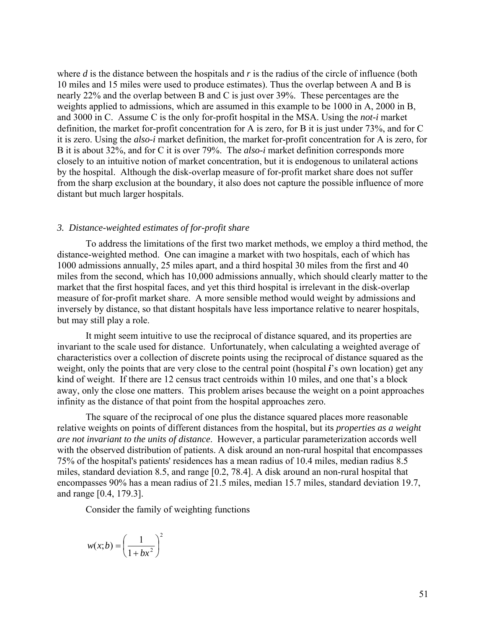where *d* is the distance between the hospitals and *r* is the radius of the circle of influence (both 10 miles and 15 miles were used to produce estimates). Thus the overlap between A and B is nearly 22% and the overlap between B and C is just over 39%. These percentages are the weights applied to admissions, which are assumed in this example to be 1000 in A, 2000 in B, and 3000 in C. Assume C is the only for-profit hospital in the MSA. Using the *not-i* market definition, the market for-profit concentration for A is zero, for B it is just under 73%, and for C it is zero. Using the *also-i* market definition, the market for-profit concentration for A is zero, for B it is about 32%, and for C it is over 79%. The *also-i* market definition corresponds more closely to an intuitive notion of market concentration, but it is endogenous to unilateral actions by the hospital. Although the disk-overlap measure of for-profit market share does not suffer from the sharp exclusion at the boundary, it also does not capture the possible influence of more distant but much larger hospitals.

#### *3. Distance-weighted estimates of for-profit share*

To address the limitations of the first two market methods, we employ a third method, the distance-weighted method. One can imagine a market with two hospitals, each of which has 1000 admissions annually, 25 miles apart, and a third hospital 30 miles from the first and 40 miles from the second, which has 10,000 admissions annually, which should clearly matter to the market that the first hospital faces, and yet this third hospital is irrelevant in the disk-overlap measure of for-profit market share. A more sensible method would weight by admissions and inversely by distance, so that distant hospitals have less importance relative to nearer hospitals, but may still play a role.

It might seem intuitive to use the reciprocal of distance squared, and its properties are invariant to the scale used for distance. Unfortunately, when calculating a weighted average of characteristics over a collection of discrete points using the reciprocal of distance squared as the weight, only the points that are very close to the central point (hospital *i*'s own location) get any kind of weight. If there are 12 census tract centroids within 10 miles, and one that's a block away, only the close one matters. This problem arises because the weight on a point approaches infinity as the distance of that point from the hospital approaches zero.

The square of the reciprocal of one plus the distance squared places more reasonable relative weights on points of different distances from the hospital, but its *properties as a weight are not invariant to the units of distance*. However, a particular parameterization accords well with the observed distribution of patients. A disk around an non-rural hospital that encompasses 75% of the hospital's patients' residences has a mean radius of 10.4 miles, median radius 8.5 miles, standard deviation 8.5, and range [0.2, 78.4]. A disk around an non-rural hospital that encompasses 90% has a mean radius of 21.5 miles, median 15.7 miles, standard deviation 19.7, and range [0.4, 179.3].

Consider the family of weighting functions

$$
w(x;b) = \left(\frac{1}{1+bx^2}\right)^2
$$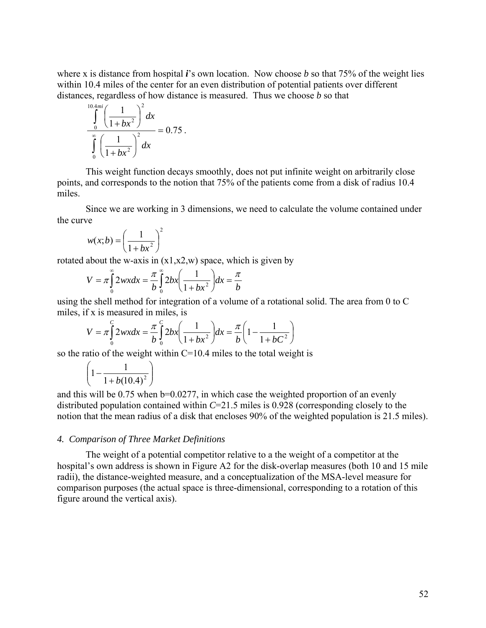where x is distance from hospital *i*'s own location. Now choose *b* so that 75% of the weight lies within 10.4 miles of the center for an even distribution of potential patients over different distances, regardless of how distance is measured. Thus we choose *b* so that

$$
\int_{0}^{10.4mi} \left(\frac{1}{1 + bx^2}\right)^2 dx
$$
  

$$
\int_{0}^{\infty} \left(\frac{1}{1 + bx^2}\right)^2 dx = 0.75.
$$

This weight function decays smoothly, does not put infinite weight on arbitrarily close points, and corresponds to the notion that 75% of the patients come from a disk of radius 10.4 miles.

Since we are working in 3 dimensions, we need to calculate the volume contained under the curve

$$
w(x;b) = \left(\frac{1}{1+bx^2}\right)^2
$$

rotated about the w-axis in  $(x1,x2,w)$  space, which is given by

$$
V = \pi \int_{0}^{\infty} 2wxdx = \frac{\pi}{b} \int_{0}^{\infty} 2bx \left(\frac{1}{1 + bx^2}\right) dx = \frac{\pi}{b}
$$

using the shell method for integration of a volume of a rotational solid. The area from 0 to C miles, if x is measured in miles, is

$$
V = \pi \int_{0}^{C} 2wx dx = \frac{\pi}{b} \int_{0}^{C} 2bx \left( \frac{1}{1 + bx^2} \right) dx = \frac{\pi}{b} \left( 1 - \frac{1}{1 + bC^2} \right)
$$

so the ratio of the weight within C=10.4 miles to the total weight is

$$
\left(1-\frac{1}{1+b(10.4)^2}\right)
$$

and this will be  $0.75$  when  $b=0.0277$ , in which case the weighted proportion of an evenly distributed population contained within *C*=21.5 miles is 0.928 (corresponding closely to the notion that the mean radius of a disk that encloses 90% of the weighted population is 21.5 miles).

#### *4. Comparison of Three Market Definitions*

The weight of a potential competitor relative to a the weight of a competitor at the hospital's own address is shown in Figure A2 for the disk-overlap measures (both 10 and 15 mile radii), the distance-weighted measure, and a conceptualization of the MSA-level measure for comparison purposes (the actual space is three-dimensional, corresponding to a rotation of this figure around the vertical axis).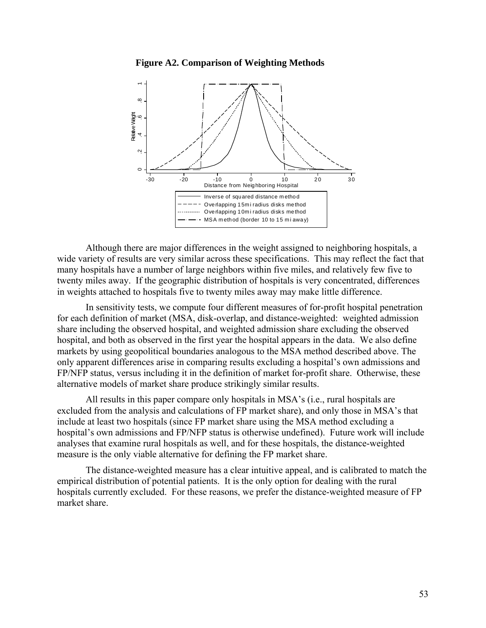#### **Figure A2. Comparison of Weighting Methods**



Although there are major differences in the weight assigned to neighboring hospitals, a wide variety of results are very similar across these specifications. This may reflect the fact that many hospitals have a number of large neighbors within five miles, and relatively few five to twenty miles away. If the geographic distribution of hospitals is very concentrated, differences in weights attached to hospitals five to twenty miles away may make little difference.

In sensitivity tests, we compute four different measures of for-profit hospital penetration for each definition of market (MSA, disk-overlap, and distance-weighted: weighted admission share including the observed hospital, and weighted admission share excluding the observed hospital, and both as observed in the first year the hospital appears in the data. We also define markets by using geopolitical boundaries analogous to the MSA method described above. The only apparent differences arise in comparing results excluding a hospital's own admissions and FP/NFP status, versus including it in the definition of market for-profit share. Otherwise, these alternative models of market share produce strikingly similar results.

All results in this paper compare only hospitals in MSA's (i.e., rural hospitals are excluded from the analysis and calculations of FP market share), and only those in MSA's that include at least two hospitals (since FP market share using the MSA method excluding a hospital's own admissions and FP/NFP status is otherwise undefined). Future work will include analyses that examine rural hospitals as well, and for these hospitals, the distance-weighted measure is the only viable alternative for defining the FP market share.

The distance-weighted measure has a clear intuitive appeal, and is calibrated to match the empirical distribution of potential patients. It is the only option for dealing with the rural hospitals currently excluded. For these reasons, we prefer the distance-weighted measure of FP market share.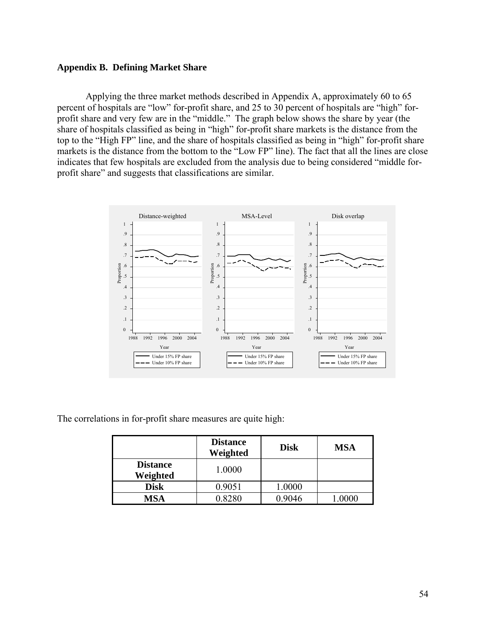#### **Appendix B. Defining Market Share**

Applying the three market methods described in Appendix A, approximately 60 to 65 percent of hospitals are "low" for-profit share, and 25 to 30 percent of hospitals are "high" forprofit share and very few are in the "middle." The graph below shows the share by year (the share of hospitals classified as being in "high" for-profit share markets is the distance from the top to the "High FP" line, and the share of hospitals classified as being in "high" for-profit share markets is the distance from the bottom to the "Low FP" line). The fact that all the lines are close indicates that few hospitals are excluded from the analysis due to being considered "middle forprofit share" and suggests that classifications are similar.



The correlations in for-profit share measures are quite high:

|                             | <b>Distance</b><br>Weighted | <b>Disk</b> | <b>MSA</b> |
|-----------------------------|-----------------------------|-------------|------------|
| <b>Distance</b><br>Weighted | 1.0000                      |             |            |
| <b>Disk</b>                 | 0.9051                      | 1.0000      |            |
| MSA                         | 0.8280                      | 0.9046      | 0000       |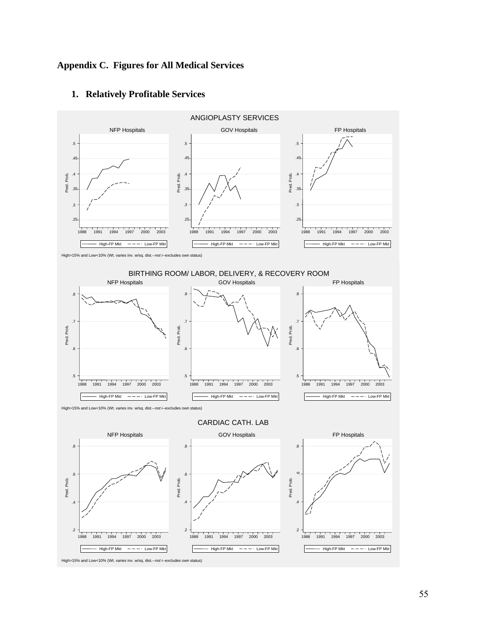## **Appendix C. Figures for All Medical Services**



# **1. Relatively Profitable Services**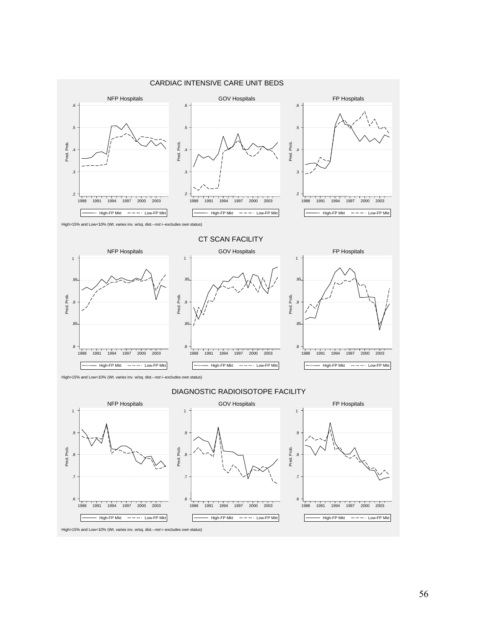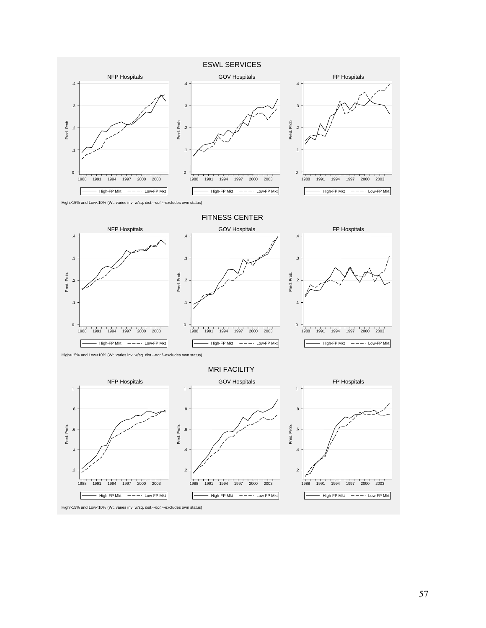

57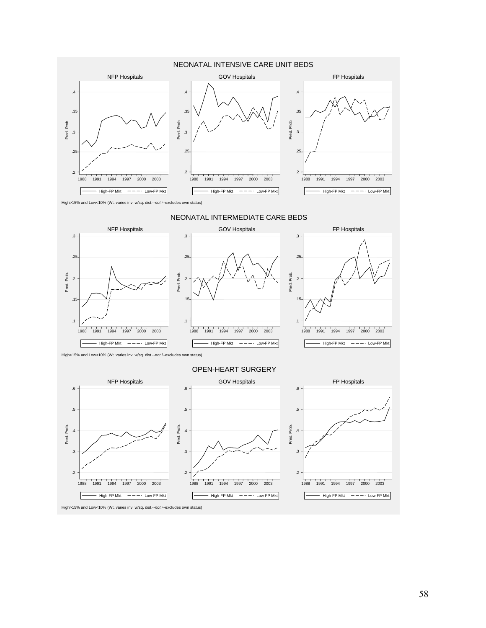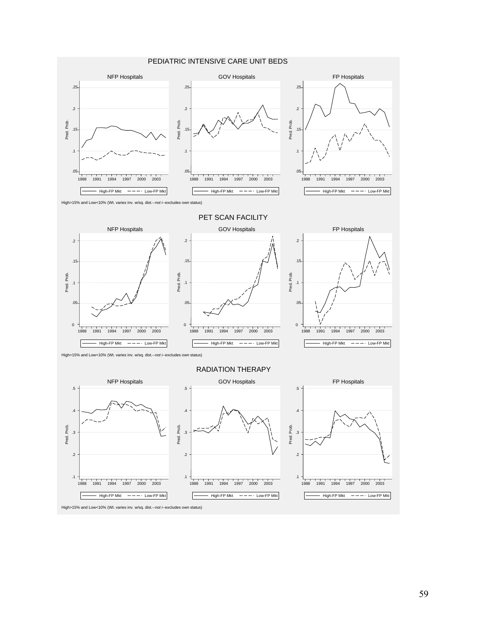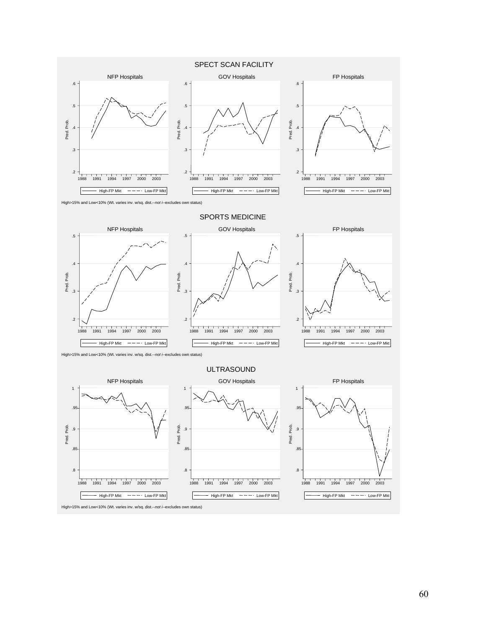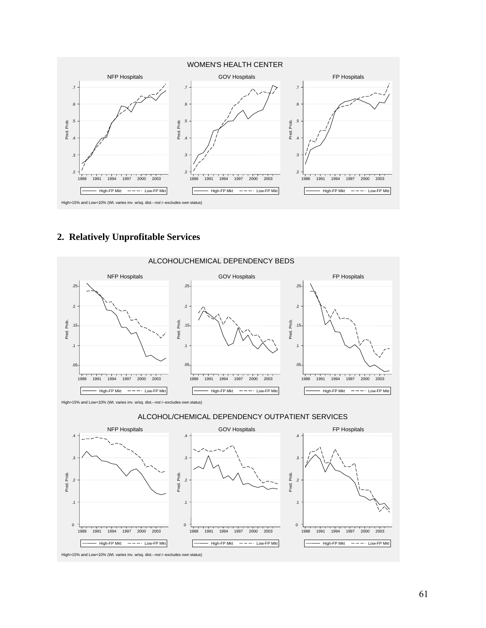

# **2. Relatively Unprofitable Services**

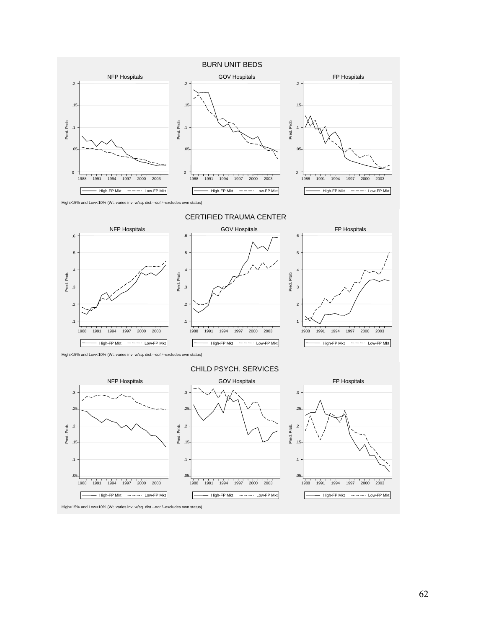

62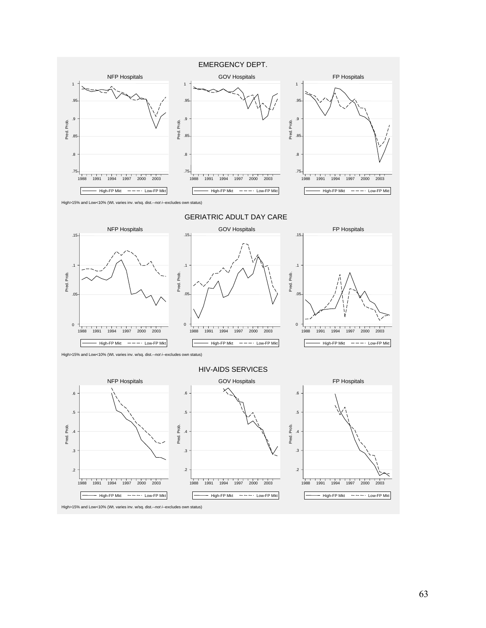

63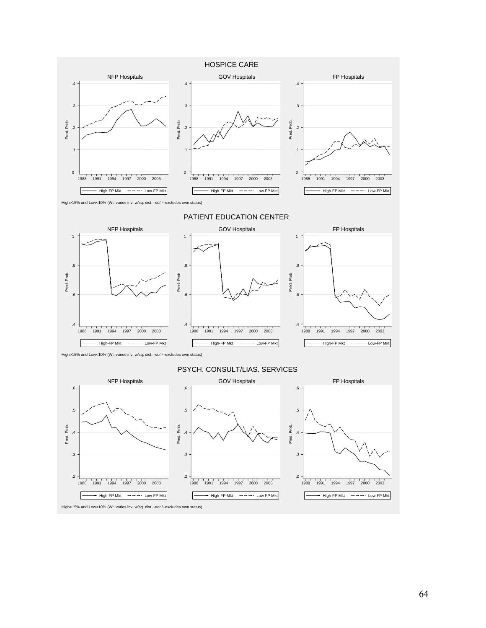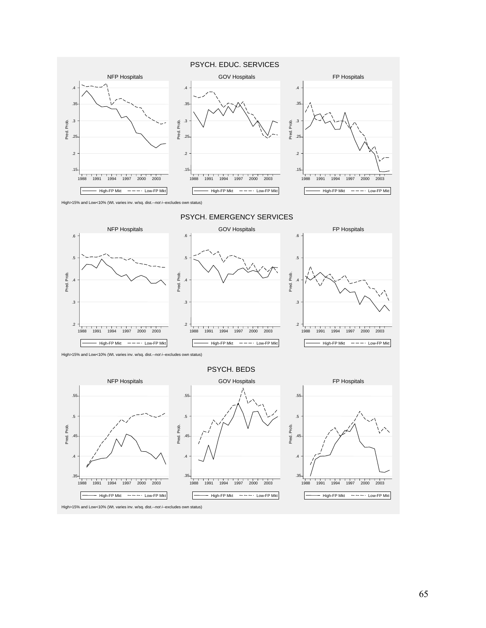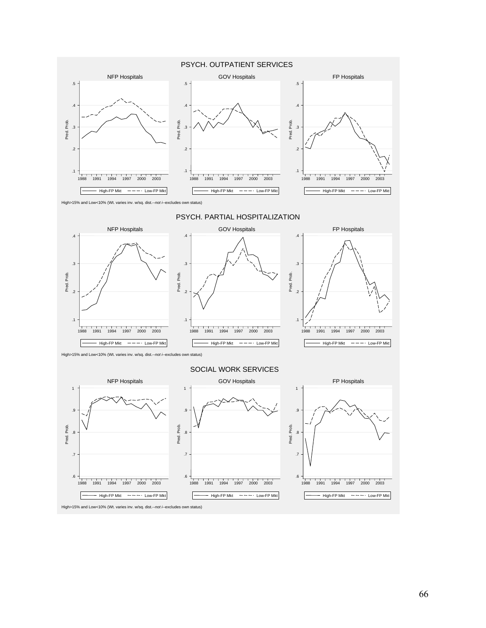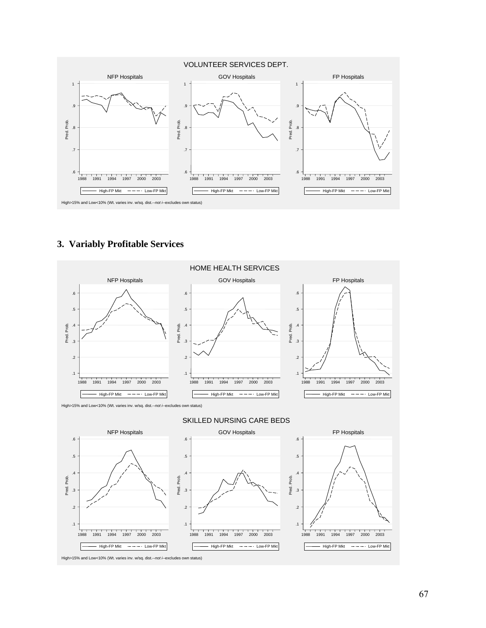

## **3. Variably Profitable Services**

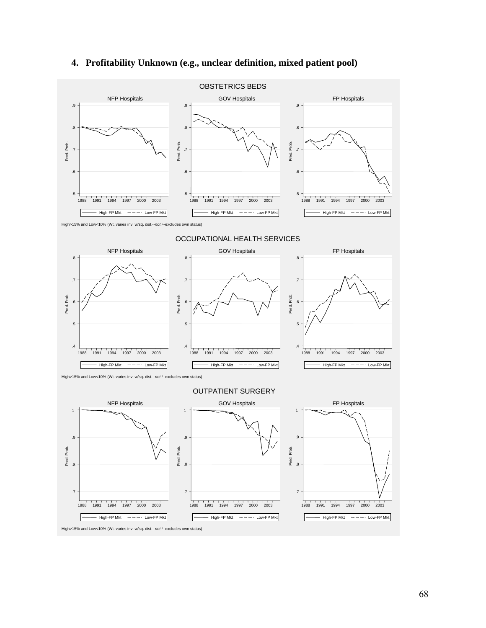

# **4. Profitability Unknown (e.g., unclear definition, mixed patient pool)**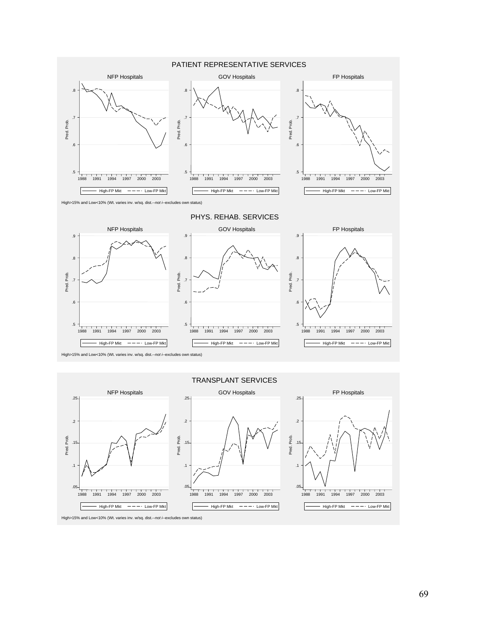

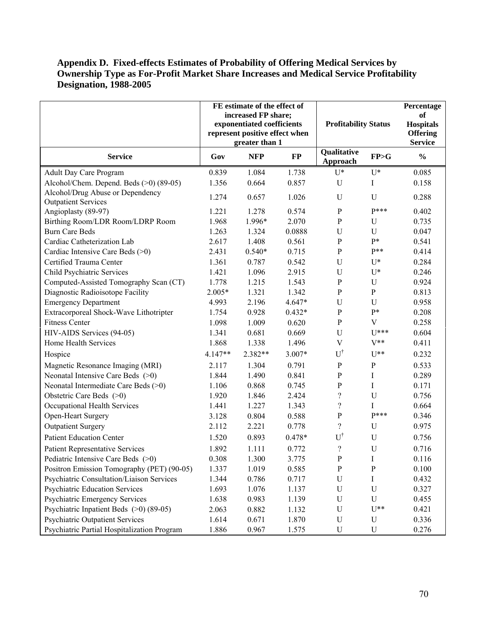### **Appendix D. Fixed-effects Estimates of Probability of Offering Medical Services by Ownership Type as For-Profit Market Share Increases and Medical Service Profitability Designation, 1988-2005**

|                                                                | FE estimate of the effect of<br>increased FP share;<br>exponentiated coefficients<br>represent positive effect when |                |          | <b>Profitability Status</b> |                | Percentage<br><b>of</b><br><b>Hospitals</b><br><b>Offering</b> |
|----------------------------------------------------------------|---------------------------------------------------------------------------------------------------------------------|----------------|----------|-----------------------------|----------------|----------------------------------------------------------------|
|                                                                |                                                                                                                     | greater than 1 |          | Qualitative                 |                | <b>Service</b>                                                 |
| <b>Service</b>                                                 | Gov                                                                                                                 | <b>NFP</b>     | $\bf FP$ | Approach                    | FP>G           | $\frac{0}{0}$                                                  |
| <b>Adult Day Care Program</b>                                  | 0.839                                                                                                               | 1.084          | 1.738    | $U^*$                       | $U^*$          | 0.085                                                          |
| Alcohol/Chem. Depend. Beds (>0) (89-05)                        | 1.356                                                                                                               | 0.664          | 0.857    | U                           | I              | 0.158                                                          |
| Alcohol/Drug Abuse or Dependency<br><b>Outpatient Services</b> | 1.274                                                                                                               | 0.657          | 1.026    | U                           | U              | 0.288                                                          |
| Angioplasty (89-97)                                            | 1.221                                                                                                               | 1.278          | 0.574    | $\mathbf{P}$                | $P***$         | 0.402                                                          |
| Birthing Room/LDR Room/LDRP Room                               | 1.968                                                                                                               | 1.996*         | 2.070    | ${\bf P}$                   | U              | 0.735                                                          |
| <b>Burn Care Beds</b>                                          | 1.263                                                                                                               | 1.324          | 0.0888   | U                           | U              | 0.047                                                          |
| Cardiac Catheterization Lab                                    | 2.617                                                                                                               | 1.408          | 0.561    | ${\bf P}$                   | p*             | 0.541                                                          |
| Cardiac Intensive Care Beds (>0)                               | 2.431                                                                                                               | $0.540*$       | 0.715    | $\mathbf{P}$                | $P**$          | 0.414                                                          |
| Certified Trauma Center                                        | 1.361                                                                                                               | 0.787          | 0.542    | U                           | $U^*$          | 0.284                                                          |
| <b>Child Psychiatric Services</b>                              | 1.421                                                                                                               | 1.096          | 2.915    | U                           | $U^*$          | 0.246                                                          |
| Computed-Assisted Tomography Scan (CT)                         | 1.778                                                                                                               | 1.215          | 1.543    | ${\bf P}$                   | U              | 0.924                                                          |
| Diagnostic Radioisotope Facility                               | $2.005*$                                                                                                            | 1.321          | 1.342    | ${\bf P}$                   | ${\bf P}$      | 0.813                                                          |
| <b>Emergency Department</b>                                    | 4.993                                                                                                               | 2.196          | 4.647*   | U                           | U              | 0.958                                                          |
| Extracorporeal Shock-Wave Lithotripter                         | 1.754                                                                                                               | 0.928          | $0.432*$ | ${\bf P}$                   | $P*$           | 0.208                                                          |
| <b>Fitness Center</b>                                          | 1.098                                                                                                               | 1.009          | 0.620    | $\mathbf{P}$                | $\overline{V}$ | 0.258                                                          |
| HIV-AIDS Services (94-05)                                      | 1.341                                                                                                               | 0.681          | 0.669    | $\mathbf U$                 | $U^{***}$      | 0.604                                                          |
| Home Health Services                                           | 1.868                                                                                                               | 1.338          | 1.496    | $\mathbf V$                 | $V^{**}$       | 0.411                                                          |
| Hospice                                                        | 4.147**                                                                                                             | 2.382**        | 3.007*   | $\mathbf{U}^{\dagger}$      | $U^{**}$       | 0.232                                                          |
| Magnetic Resonance Imaging (MRI)                               | 2.117                                                                                                               | 1.304          | 0.791    | $\mathbf{P}$                | ${\bf P}$      | 0.533                                                          |
| Neonatal Intensive Care Beds (>0)                              | 1.844                                                                                                               | 1.490          | 0.841    | ${\bf P}$                   | I              | 0.289                                                          |
| Neonatal Intermediate Care Beds (>0)                           | 1.106                                                                                                               | 0.868          | 0.745    | ${\bf P}$                   | I              | 0.171                                                          |
| Obstetric Care Beds (>0)                                       | 1.920                                                                                                               | 1.846          | 2.424    | $\overline{\mathcal{C}}$    | U              | 0.756                                                          |
| Occupational Health Services                                   | 1.441                                                                                                               | 1.227          | 1.343    | $\overline{\mathcal{C}}$    | I              | 0.664                                                          |
| Open-Heart Surgery                                             | 3.128                                                                                                               | 0.804          | 0.588    | ${\bf P}$                   | $P***$         | 0.346                                                          |
| <b>Outpatient Surgery</b>                                      | 2.112                                                                                                               | 2.221          | 0.778    | $\gamma$                    | U              | 0.975                                                          |
| <b>Patient Education Center</b>                                | 1.520                                                                                                               | 0.893          | 0.478*   | $U^{\dagger}$               | U              | 0.756                                                          |
| <b>Patient Representative Services</b>                         | 1.892                                                                                                               | 1.111          | 0.772    | $\gamma$                    | U              | 0.716                                                          |
| Pediatric Intensive Care Beds $(>0)$                           | 0.308                                                                                                               | 1.300          | 3.775    | P                           | Ι              | 0.116                                                          |
| Positron Emission Tomography (PET) (90-05)                     | 1.337                                                                                                               | 1.019          | 0.585    | P                           | $\mathbf{P}$   | 0.100                                                          |
| Psychiatric Consultation/Liaison Services                      | 1.344                                                                                                               | 0.786          | 0.717    | $\mathbf U$                 | Ι              | 0.432                                                          |
| <b>Psychiatric Education Services</b>                          | 1.693                                                                                                               | 1.076          | 1.137    | U                           | U              | 0.327                                                          |
| Psychiatric Emergency Services                                 | 1.638                                                                                                               | 0.983          | 1.139    | U                           | U              | 0.455                                                          |
| Psychiatric Inpatient Beds $(>0)$ (89-05)                      | 2.063                                                                                                               | 0.882          | 1.132    | U                           | $U^{**}$       | 0.421                                                          |
| <b>Psychiatric Outpatient Services</b>                         | 1.614                                                                                                               | 0.671          | 1.870    | U                           | $\mathbf U$    | 0.336                                                          |
| Psychiatric Partial Hospitalization Program                    | 1.886                                                                                                               | 0.967          | 1.575    | U                           | U              | 0.276                                                          |